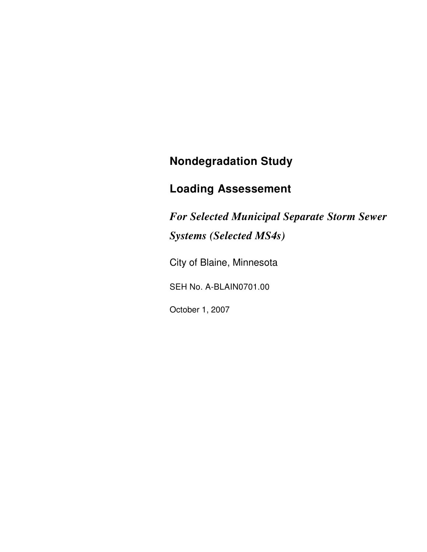# **Nondegradation Study**

# **Loading Assessement**

*For Selected Municipal Separate Storm Sewer Systems (Selected MS4s)* 

City of Blaine, Minnesota

SEH No. A-BLAIN0701.00

October 1, 2007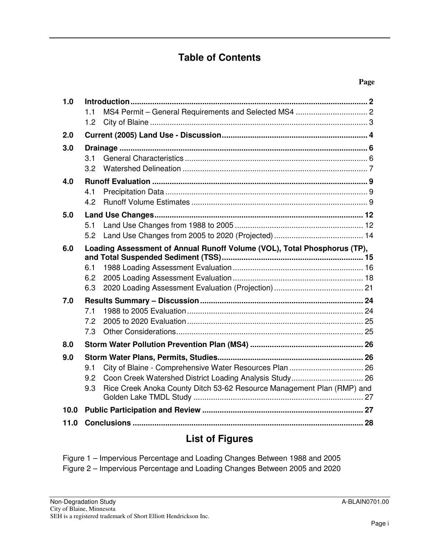### **Table of Contents**

| 1.0  |                                                                               |  |
|------|-------------------------------------------------------------------------------|--|
|      | 1.1                                                                           |  |
|      | 1.2                                                                           |  |
| 2.0  |                                                                               |  |
| 3.0  |                                                                               |  |
|      | 3.1                                                                           |  |
|      | 3.2                                                                           |  |
| 4.0  |                                                                               |  |
|      | 4.1                                                                           |  |
|      | 4.2                                                                           |  |
| 5.0  |                                                                               |  |
|      | 5.1                                                                           |  |
|      | 5.2                                                                           |  |
| 6.0  | Loading Assessment of Annual Runoff Volume (VOL), Total Phosphorus (TP),      |  |
|      |                                                                               |  |
|      | 6.1<br>6.2                                                                    |  |
|      | 6.3                                                                           |  |
| 7.0  |                                                                               |  |
|      | 7.1                                                                           |  |
|      | 7.2                                                                           |  |
|      | 7.3                                                                           |  |
| 8.0  |                                                                               |  |
| 9.0  |                                                                               |  |
|      | 9.1                                                                           |  |
|      | 9.2                                                                           |  |
|      | Rice Creek Anoka County Ditch 53-62 Resource Management Plan (RMP) and<br>9.3 |  |
|      |                                                                               |  |
| 10.0 |                                                                               |  |
| 11.0 |                                                                               |  |
|      |                                                                               |  |

## **List of Figures**

Figure 1 – Impervious Percentage and Loading Changes Between 1988 and 2005 Figure 2 – Impervious Percentage and Loading Changes Between 2005 and 2020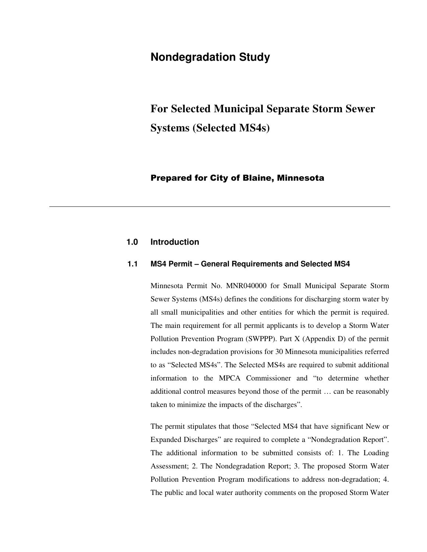### **Nondegradation Study**

# **For Selected Municipal Separate Storm Sewer Systems (Selected MS4s)**

### Prepared for City of Blaine, Minnesota

### **1.0 Introduction**

#### **1.1 MS4 Permit – General Requirements and Selected MS4**

Minnesota Permit No. MNR040000 for Small Municipal Separate Storm Sewer Systems (MS4s) defines the conditions for discharging storm water by all small municipalities and other entities for which the permit is required. The main requirement for all permit applicants is to develop a Storm Water Pollution Prevention Program (SWPPP). Part X (Appendix D) of the permit includes non-degradation provisions for 30 Minnesota municipalities referred to as "Selected MS4s". The Selected MS4s are required to submit additional information to the MPCA Commissioner and "to determine whether additional control measures beyond those of the permit … can be reasonably taken to minimize the impacts of the discharges".

The permit stipulates that those "Selected MS4 that have significant New or Expanded Discharges" are required to complete a "Nondegradation Report". The additional information to be submitted consists of: 1. The Loading Assessment; 2. The Nondegradation Report; 3. The proposed Storm Water Pollution Prevention Program modifications to address non-degradation; 4. The public and local water authority comments on the proposed Storm Water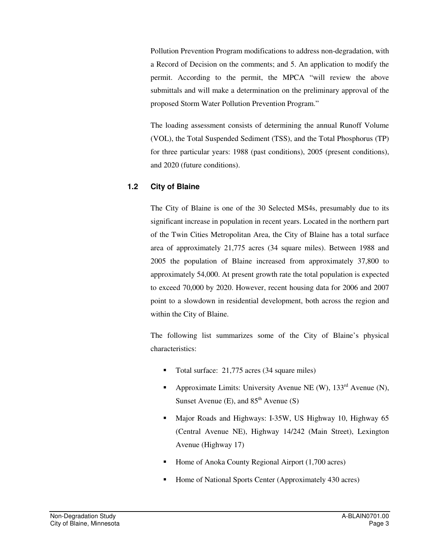Pollution Prevention Program modifications to address non-degradation, with a Record of Decision on the comments; and 5. An application to modify the permit. According to the permit, the MPCA "will review the above submittals and will make a determination on the preliminary approval of the proposed Storm Water Pollution Prevention Program."

The loading assessment consists of determining the annual Runoff Volume (VOL), the Total Suspended Sediment (TSS), and the Total Phosphorus (TP) for three particular years: 1988 (past conditions), 2005 (present conditions), and 2020 (future conditions).

### **1.2 City of Blaine**

The City of Blaine is one of the 30 Selected MS4s, presumably due to its significant increase in population in recent years. Located in the northern part of the Twin Cities Metropolitan Area, the City of Blaine has a total surface area of approximately 21,775 acres (34 square miles). Between 1988 and 2005 the population of Blaine increased from approximately 37,800 to approximately 54,000. At present growth rate the total population is expected to exceed 70,000 by 2020. However, recent housing data for 2006 and 2007 point to a slowdown in residential development, both across the region and within the City of Blaine.

The following list summarizes some of the City of Blaine's physical characteristics:

- Total surface: 21,775 acres (34 square miles)
- Approximate Limits: University Avenue NE (W),  $133<sup>rd</sup>$  Avenue (N), Sunset Avenue (E), and  $85<sup>th</sup>$  Avenue (S)
- Major Roads and Highways: I-35W, US Highway 10, Highway 65 (Central Avenue NE), Highway 14/242 (Main Street), Lexington Avenue (Highway 17)
- Home of Anoka County Regional Airport  $(1,700 \text{ acres})$
- Home of National Sports Center (Approximately 430 acres)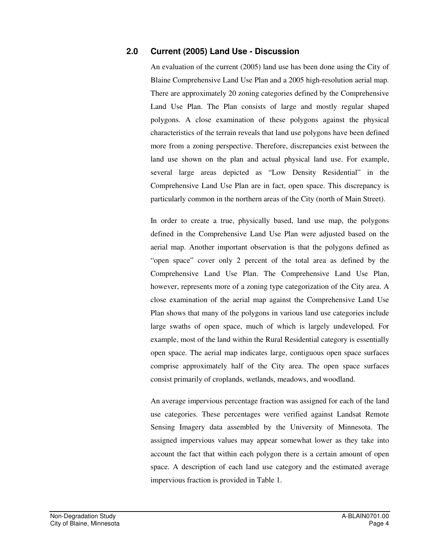### **2.0 Current (2005) Land Use - Discussion**

An evaluation of the current (2005) land use has been done using the City of Blaine Comprehensive Land Use Plan and a 2005 high-resolution aerial map. There are approximately 20 zoning categories defined by the Comprehensive Land Use Plan. The Plan consists of large and mostly regular shaped polygons. A close examination of these polygons against the physical characteristics of the terrain reveals that land use polygons have been defined more from a zoning perspective. Therefore, discrepancies exist between the land use shown on the plan and actual physical land use. For example, several large areas depicted as "Low Density Residential" in the Comprehensive Land Use Plan are in fact, open space. This discrepancy is particularly common in the northern areas of the City (north of Main Street).

In order to create a true, physically based, land use map, the polygons defined in the Comprehensive Land Use Plan were adjusted based on the aerial map. Another important observation is that the polygons defined as "open space" cover only 2 percent of the total area as defined by the Comprehensive Land Use Plan. The Comprehensive Land Use Plan, however, represents more of a zoning type categorization of the City area. A close examination of the aerial map against the Comprehensive Land Use Plan shows that many of the polygons in various land use categories include large swaths of open space, much of which is largely undeveloped. For example, most of the land within the Rural Residential category is essentially open space. The aerial map indicates large, contiguous open space surfaces comprise approximately half of the City area. The open space surfaces consist primarily of croplands, wetlands, meadows, and woodland.

An average impervious percentage fraction was assigned for each of the land use categories. These percentages were verified against Landsat Remote Sensing Imagery data assembled by the University of Minnesota. The assigned impervious values may appear somewhat lower as they take into account the fact that within each polygon there is a certain amount of open space. A description of each land use category and the estimated average impervious fraction is provided in Table 1.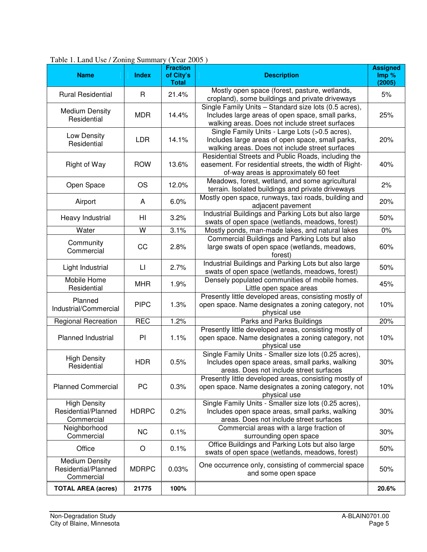| <b>Name</b>                                              | <b>Index</b>           | <b>Fraction</b><br>of City's<br><b>Total</b> | <b>Description</b>                                                                                                                                           | <b>Assigned</b><br>Imp %<br>(2005) |
|----------------------------------------------------------|------------------------|----------------------------------------------|--------------------------------------------------------------------------------------------------------------------------------------------------------------|------------------------------------|
| <b>Rural Residential</b>                                 | R                      | 21.4%                                        | Mostly open space (forest, pasture, wetlands,<br>cropland), some buildings and private driveways                                                             | 5%                                 |
| <b>Medium Density</b><br>Residential                     | <b>MDR</b>             | 14.4%                                        | Single Family Units - Standard size lots (0.5 acres),<br>Includes large areas of open space, small parks,<br>walking areas. Does not include street surfaces | 25%                                |
| Low Density<br>Residential                               | <b>LDR</b>             | 14.1%                                        | Single Family Units - Large Lots (>0.5 acres),<br>Includes large areas of open space, small parks,<br>walking areas. Does not include street surfaces        | 20%                                |
| <b>Right of Way</b>                                      | <b>ROW</b>             | 13.6%                                        | Residential Streets and Public Roads, including the<br>easement. For residential streets, the width of Right-<br>of-way areas is approximately 60 feet       | 40%                                |
| Open Space                                               | <b>OS</b>              | 12.0%                                        | Meadows, forest, wetland, and some agricultural<br>terrain. Isolated buildings and private driveways                                                         | 2%                                 |
| Airport                                                  | A                      | 6.0%                                         | Mostly open space, runways, taxi roads, building and<br>adjacent pavement                                                                                    | 20%                                |
| Heavy Industrial                                         | HI                     | 3.2%                                         | Industrial Buildings and Parking Lots but also large<br>swats of open space (wetlands, meadows, forest)                                                      | 50%                                |
| Water                                                    | W                      | 3.1%                                         | Mostly ponds, man-made lakes, and natural lakes                                                                                                              | $0\%$                              |
| Community<br>Commercial                                  | CC                     | 2.8%                                         | Commercial Buildings and Parking Lots but also<br>large swats of open space (wetlands, meadows,<br>forest)                                                   | 60%                                |
| Light Industrial                                         | $\mathsf{L}\mathsf{I}$ | 2.7%                                         | Industrial Buildings and Parking Lots but also large<br>swats of open space (wetlands, meadows, forest)                                                      | 50%                                |
| Mobile Home<br>Residential                               | <b>MHR</b>             | 1.9%                                         | Densely populated communities of mobile homes.<br>Little open space areas                                                                                    | 45%                                |
| Planned<br>Industrial/Commercial                         | <b>PIPC</b>            | 1.3%                                         | Presently little developed areas, consisting mostly of<br>open space. Name designates a zoning category, not<br>physical use                                 | 10%                                |
| Regional Recreation                                      | <b>REC</b>             | 1.2%                                         | Parks and Parks Buildings                                                                                                                                    | 20%                                |
| Planned Industrial                                       | PI                     | 1.1%                                         | Presently little developed areas, consisting mostly of<br>open space. Name designates a zoning category, not<br>physical use                                 | 10%                                |
| <b>High Density</b><br>Residential                       | <b>HDR</b>             | 0.5%                                         | Single Family Units - Smaller size lots (0.25 acres),<br>Includes open space areas, small parks, walking<br>areas. Does not include street surfaces          | 30%                                |
| <b>Planned Commercial</b>                                | PC                     | 0.3%                                         | Presently little developed areas, consisting mostly of<br>open space. Name designates a zoning category, not<br>physical use                                 | 10%                                |
| <b>High Density</b><br>Residential/Planned<br>Commercial | <b>HDRPC</b>           | 0.2%                                         | Single Family Units - Smaller size lots (0.25 acres),<br>Includes open space areas, small parks, walking<br>areas. Does not include street surfaces          | 30%                                |
| Neighborhood<br>Commercial                               | <b>NC</b>              | 0.1%                                         | Commercial areas with a large fraction of<br>surrounding open space                                                                                          | 30%                                |
| Office                                                   | O                      | 0.1%                                         | Office Buildings and Parking Lots but also large<br>swats of open space (wetlands, meadows, forest)                                                          | 50%                                |
| Medium Density<br>Residential/Planned<br>Commercial      | <b>MDRPC</b>           | 0.03%                                        | One occurrence only, consisting of commercial space<br>and some open space                                                                                   | 50%                                |
| <b>TOTAL AREA (acres)</b>                                | 21775                  | 100%                                         |                                                                                                                                                              | 20.6%                              |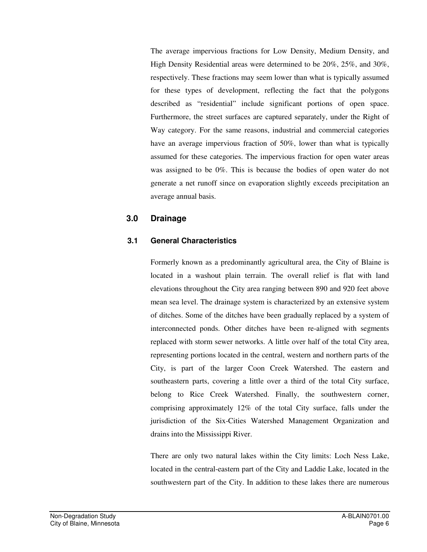The average impervious fractions for Low Density, Medium Density, and High Density Residential areas were determined to be 20%, 25%, and 30%, respectively. These fractions may seem lower than what is typically assumed for these types of development, reflecting the fact that the polygons described as "residential" include significant portions of open space. Furthermore, the street surfaces are captured separately, under the Right of Way category. For the same reasons, industrial and commercial categories have an average impervious fraction of 50%, lower than what is typically assumed for these categories. The impervious fraction for open water areas was assigned to be 0%. This is because the bodies of open water do not generate a net runoff since on evaporation slightly exceeds precipitation an average annual basis.

### **3.0 Drainage**

### **3.1 General Characteristics**

Formerly known as a predominantly agricultural area, the City of Blaine is located in a washout plain terrain. The overall relief is flat with land elevations throughout the City area ranging between 890 and 920 feet above mean sea level. The drainage system is characterized by an extensive system of ditches. Some of the ditches have been gradually replaced by a system of interconnected ponds. Other ditches have been re-aligned with segments replaced with storm sewer networks. A little over half of the total City area, representing portions located in the central, western and northern parts of the City, is part of the larger Coon Creek Watershed. The eastern and southeastern parts, covering a little over a third of the total City surface, belong to Rice Creek Watershed. Finally, the southwestern corner, comprising approximately 12% of the total City surface, falls under the jurisdiction of the Six-Cities Watershed Management Organization and drains into the Mississippi River.

There are only two natural lakes within the City limits: Loch Ness Lake, located in the central-eastern part of the City and Laddie Lake, located in the southwestern part of the City. In addition to these lakes there are numerous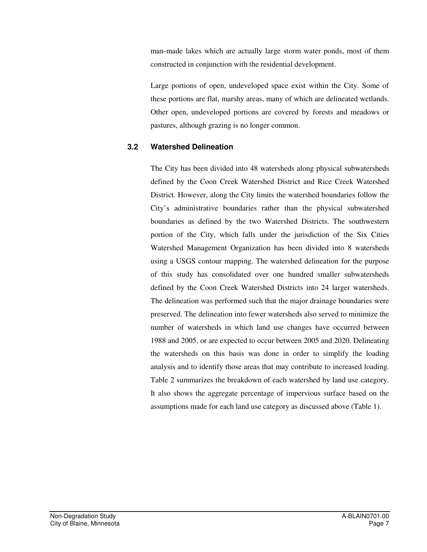man-made lakes which are actually large storm water ponds, most of them constructed in conjunction with the residential development.

Large portions of open, undeveloped space exist within the City. Some of these portions are flat, marshy areas, many of which are delineated wetlands. Other open, undeveloped portions are covered by forests and meadows or pastures, although grazing is no longer common.

### **3.2 Watershed Delineation**

The City has been divided into 48 watersheds along physical subwatersheds defined by the Coon Creek Watershed District and Rice Creek Watershed District. However, along the City limits the watershed boundaries follow the City's administrative boundaries rather than the physical subwatershed boundaries as defined by the two Watershed Districts. The southwestern portion of the City, which falls under the jurisdiction of the Six Cities Watershed Management Organization has been divided into 8 watersheds using a USGS contour mapping. The watershed delineation for the purpose of this study has consolidated over one hundred smaller subwatersheds defined by the Coon Creek Watershed Districts into 24 larger watersheds. The delineation was performed such that the major drainage boundaries were preserved. The delineation into fewer watersheds also served to minimize the number of watersheds in which land use changes have occurred between 1988 and 2005, or are expected to occur between 2005 and 2020. Delineating the watersheds on this basis was done in order to simplify the loading analysis and to identify those areas that may contribute to increased loading. Table 2 summarizes the breakdown of each watershed by land use category. It also shows the aggregate percentage of impervious surface based on the assumptions made for each land use category as discussed above (Table 1).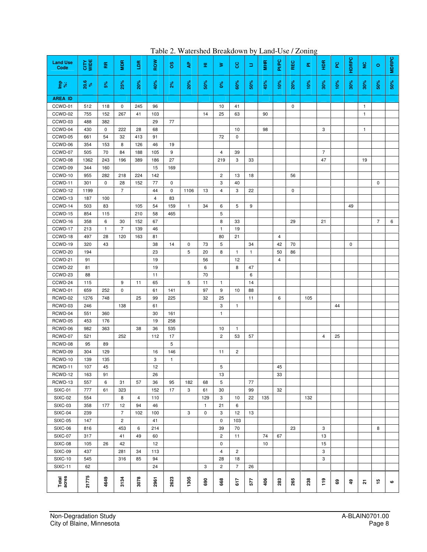| <b>Land Use</b><br>Code | <b>CITY</b><br>WIDE | 뜐            | <b>Ram</b>     | ã    | ROW  | 8            | ક્           | Ξ.           | ⋧              | 8              | Ξ   | <b>FR</b> | PI/PC          | REC         | ā.  | $rac{R}{2}$    | ဥ   | <b>HDRPC</b> | g            | $\circ$        | <b>MDRPC</b> |
|-------------------------|---------------------|--------------|----------------|------|------|--------------|--------------|--------------|----------------|----------------|-----|-----------|----------------|-------------|-----|----------------|-----|--------------|--------------|----------------|--------------|
| $\frac{p}{s}$           | 20.6                | 5%           | 25%            | 20%  | 40%  | $2\%$        | <b>20%</b>   | 50%          | <b>S</b>       | 60%            | 50% | 45%       | 10%            | 20%         | 10% | 30%            | 10% | 30%          | 30%          | 50%            | 50%          |
| <b>AREA ID</b>          |                     |              |                |      |      |              |              |              |                |                |     |           |                |             |     |                |     |              |              |                |              |
| CCWD-01                 | 512                 | 118          | $\mathbf 0$    | 245  | 96   |              |              |              | 10             | 41             |     |           |                | $\mathbf 0$ |     |                |     |              | $\mathbf{1}$ |                |              |
| CCWD-02                 | 755                 | 152          | 267            | 41   | 103  |              |              | 14           | 25             | 63             |     | 90        |                |             |     |                |     |              | $\mathbf{1}$ |                |              |
| CCWD-03                 | 488                 | 382          |                |      | 29   | 77           |              |              |                |                |     |           |                |             |     |                |     |              |              |                |              |
| CCWD-04                 | 430                 | 0            | 222            | 28   | 68   |              |              |              |                | 10             |     | 98        |                |             |     | 3              |     |              | $\mathbf{1}$ |                |              |
| CCWD-05                 | 661                 | 54           | 32             | 413  | 91   |              |              |              | 72             | 0              |     |           |                |             |     |                |     |              |              |                |              |
| CCWD-06                 | 354                 | 153          | 8              | 126  | 46   | 19           |              |              |                |                |     |           |                |             |     |                |     |              |              |                |              |
| CCWD-07                 | 505                 | 70           | 84             | 188  | 105  | 9            |              |              | 4              | 39             |     |           |                |             |     | $\overline{7}$ |     |              |              |                |              |
| CCWD-08                 | 1362                | 243          | 196            | 389  | 186  | 27           |              |              | 219            | 3              | 33  |           |                |             |     | 47             |     |              | 19           |                |              |
| CCWD-09                 | 344                 | 160          |                |      | 15   | 169          |              |              |                |                |     |           |                |             |     |                |     |              |              |                |              |
| CCWD-10                 | 955                 | 282          | 218            | 224  | 142  |              |              |              | $\overline{c}$ | 13             | 18  |           |                | 56          |     |                |     |              |              |                |              |
| CCWD-11                 | 301                 | 0            | 28             | 152  | 77   | 0            |              |              | 3              | 40             |     |           |                |             |     |                |     |              |              | 0              |              |
| CCWD-12                 | 1199                |              | $\overline{7}$ |      | 44   | $\mathbf 0$  | 1106         | 13           | 4              | 3              | 22  |           |                | 0           |     |                |     |              |              |                |              |
| CCWD-13                 | 187                 | 100          |                |      | 4    | 83           |              |              |                |                |     |           |                |             |     |                |     |              |              |                |              |
| CCWD-14                 | 503                 | 83           |                | 105  | 54   | 159          | $\mathbf{1}$ | 34           | 6              | 5              | 9   |           |                |             |     |                |     | 49           |              |                |              |
| CCWD-15                 | 854                 | 115          |                | 210  | 58   | 465          |              |              | 5              |                |     |           |                |             |     |                |     |              |              |                |              |
| CCWD-16                 | 358                 | 6            | 30             | 152  | 67   |              |              |              | 8              | 33             |     |           |                | 29          |     | 21             |     |              |              | $\overline{7}$ | 6            |
| CCWD-17                 | 213                 | $\mathbf{1}$ | 7              | 139  | 46   |              |              |              | $\mathbf{1}$   | 19             |     |           |                |             |     |                |     |              |              |                |              |
| CCWD-18                 | 497                 | 28           | 120            | 163  | 81   |              |              |              | 80             | 21             |     |           | $\overline{4}$ |             |     |                |     |              |              |                |              |
| CCWD-19                 | 320                 | 43           |                |      | 38   | 14           | 0            | 73           | 5              |                | 34  |           | 42             | 70          |     |                |     | 0            |              |                |              |
| CCWD-20                 | 194                 |              |                |      | 23   |              | 5            | 20           | 8              | $\mathbf{1}$   | 1   |           | 50             | 86          |     |                |     |              |              |                |              |
| CCWD-21                 | 91                  |              |                |      | 19   |              |              | 56           |                | 12             |     |           | $\overline{4}$ |             |     |                |     |              |              |                |              |
| CCWD-22                 | 81                  |              |                |      | 19   |              |              | 6            |                | 8              | 47  |           |                |             |     |                |     |              |              |                |              |
| CCWD-23                 | 88                  |              |                |      | 11   |              |              | 70           |                |                | 6   |           |                |             |     |                |     |              |              |                |              |
| CCWD-24                 | 115                 |              | 9              | 11   | 65   |              | 5            | 11           | $\mathbf{1}$   |                | 14  |           |                |             |     |                |     |              |              |                |              |
| RCWD-01                 | 659                 | 252          | 0              |      | 61   | 141          |              | 97           | 9              | 10             | 88  |           |                |             |     |                |     |              |              |                |              |
| RCWD-02                 | 1276                | 748          |                | 25   | 99   | 225          |              | 32           | 25             |                | 11  |           | 6              |             | 105 |                |     |              |              |                |              |
| RCWD-03                 | 246                 |              | 138            |      | 61   |              |              |              | 3              | $\mathbf{1}$   |     |           |                |             |     |                | 44  |              |              |                |              |
| RCWD-04                 | 551                 | 360          |                |      | 30   | 161          |              |              | $\mathbf{1}$   |                |     |           |                |             |     |                |     |              |              |                |              |
| RCWD-05                 | 453                 | 176          |                |      | 19   | 258          |              |              |                |                |     |           |                |             |     |                |     |              |              |                |              |
| RCWD-06                 | 982                 | 363          |                | 38   | 36   | 535          |              |              | 10             | $\mathbf{1}$   |     |           |                |             |     |                |     |              |              |                |              |
| RCWD-07                 | 521                 |              | 252            |      | 112  | 17           |              |              | $\overline{c}$ | 53             | 57  |           |                |             |     | 4              | 25  |              |              |                |              |
| RCWD-08                 | 95                  | 89           |                |      |      | 5            |              |              |                |                |     |           |                |             |     |                |     |              |              |                |              |
| RCWD-09                 | 304                 | 129          |                |      | 16   | 146          |              |              | 11             | $\overline{c}$ |     |           |                |             |     |                |     |              |              |                |              |
| RCWD-10                 | 139                 | 135          |                |      | 3    | $\mathbf{1}$ |              |              |                |                |     |           |                |             |     |                |     |              |              |                |              |
| RCWD-11                 | 107                 | 45           |                |      | 12   |              |              |              | 5              |                |     |           | $\bf 45$       |             |     |                |     |              |              |                |              |
| RCWD-12                 | 163                 | 91           |                |      | 26   |              |              |              | 13             |                |     |           | 33             |             |     |                |     |              |              |                |              |
| RCWD-13                 | 557                 | 6            | 31             | 57   | 36   | 95           | 182          | 68           | 5              |                | 77  |           |                |             |     |                |     |              |              |                |              |
| SIXC-01                 | 777                 | 61           | 323            |      | 152  | 17           | 3            | 61           | 30             |                | 99  |           | 32             |             |     |                |     |              |              |                |              |
| <b>SIXC-02</b>          | 554                 |              | 8              | 4    | 110  |              |              | 129          | 3              | 10             | 22  | 135       |                |             | 132 |                |     |              |              |                |              |
| <b>SIXC-03</b>          | 358                 | 177          | 12             | 94   | 46   |              |              | $\mathbf{1}$ | 21             | 6              |     |           |                |             |     |                |     |              |              |                |              |
| SIXC-04                 | 239                 |              | $\overline{7}$ | 102  | 100  |              | 3            | 0            | 3              | 12             | 13  |           |                |             |     |                |     |              |              |                |              |
| <b>SIXC-05</b>          | 147                 |              | $\mathbf{2}$   |      | 41   |              |              |              | $\mathbf 0$    | 103            |     |           |                |             |     |                |     |              |              |                |              |
| SIXC-06                 | 816                 |              | 453            | 6    | 214  |              |              |              | 39             | 70             |     |           |                | 23          |     | 3              |     |              |              | 8              |              |
| <b>SIXC-07</b>          | 317                 |              | 41             | 49   | 60   |              |              |              | $\overline{c}$ | 11             |     | 74        | 67             |             |     | 13             |     |              |              |                |              |
| SIXC-08                 | 105                 | 26           | 42             |      | 12   |              |              |              | 0              |                |     | 10        |                |             |     | 15             |     |              |              |                |              |
| SIXC-09                 | 437                 |              | 281            | 34   | 113  |              |              |              | $\overline{4}$ | $\overline{2}$ |     |           |                |             |     | 3              |     |              |              |                |              |
| <b>SIXC-10</b>          | 545                 |              | 316            | 85   | 94   |              |              |              | 28             | 18             |     |           |                |             |     | 3              |     |              |              |                |              |
| <b>SIXC-11</b>          | 62                  |              |                |      | 24   |              |              | 3            | $\overline{2}$ | $\overline{7}$ | 26  |           |                |             |     |                |     |              |              |                |              |
| Total<br>acres          | 21775               | 4649         | 3134           | 3078 | 2961 | 2623         | 1305         | 690          | 668            | 617            | 577 | 406       | 283            | 265         | 238 | 119            | 69  | \$           | 。            | 15             | ဖ            |

Table 2. Watershed Breakdown by Land-Use / Zoning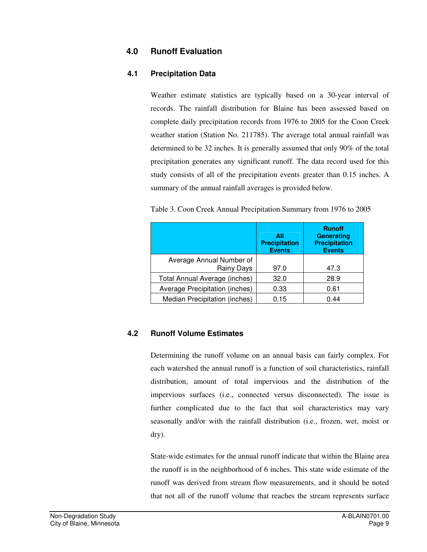### **4.0 Runoff Evaluation**

### **4.1 Precipitation Data**

Weather estimate statistics are typically based on a 30-year interval of records. The rainfall distribution for Blaine has been assessed based on complete daily precipitation records from 1976 to 2005 for the Coon Creek weather station (Station No. 211785). The average total annual rainfall was determined to be 32 inches. It is generally assumed that only 90% of the total precipitation generates any significant runoff. The data record used for this study consists of all of the precipitation events greater than 0.15 inches. A summary of the annual rainfall averages is provided below.

|  | Table 3. Coon Creek Annual Precipitation Summary from 1976 to 2005 |  |
|--|--------------------------------------------------------------------|--|
|  |                                                                    |  |

|                                | All<br><b>Precipitation</b><br><b>Events</b> | <b>Runoff</b><br><b>Generating</b><br><b>Precipitation</b><br><b>Events</b> |
|--------------------------------|----------------------------------------------|-----------------------------------------------------------------------------|
| Average Annual Number of       |                                              |                                                                             |
| <b>Rainy Days</b>              | 97.0                                         | 47.3                                                                        |
| Total Annual Average (inches)  | 32.0                                         | 28.9                                                                        |
| Average Precipitation (inches) | 0.33                                         | 0.61                                                                        |
| Median Precipitation (inches)  | 0.15                                         | 0.44                                                                        |

### **4.2 Runoff Volume Estimates**

Determining the runoff volume on an annual basis can fairly complex. For each watershed the annual runoff is a function of soil characteristics, rainfall distribution, amount of total impervious and the distribution of the impervious surfaces (i.e., connected versus disconnected). The issue is further complicated due to the fact that soil characteristics may vary seasonally and/or with the rainfall distribution (i.e., frozen, wet, moist or dry).

State-wide estimates for the annual runoff indicate that within the Blaine area the runoff is in the neighborhood of 6 inches. This state wide estimate of the runoff was derived from stream flow measurements, and it should be noted that not all of the runoff volume that reaches the stream represents surface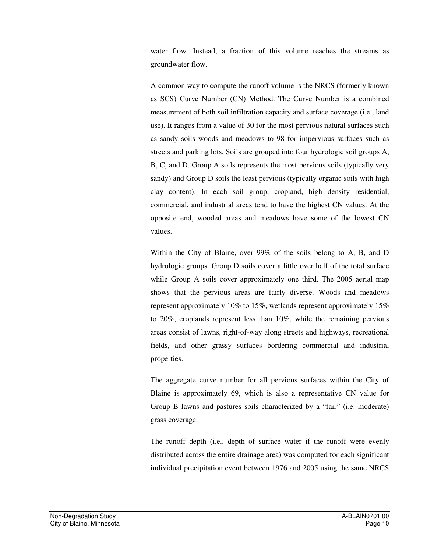water flow. Instead, a fraction of this volume reaches the streams as groundwater flow.

A common way to compute the runoff volume is the NRCS (formerly known as SCS) Curve Number (CN) Method. The Curve Number is a combined measurement of both soil infiltration capacity and surface coverage (i.e., land use). It ranges from a value of 30 for the most pervious natural surfaces such as sandy soils woods and meadows to 98 for impervious surfaces such as streets and parking lots. Soils are grouped into four hydrologic soil groups A, B, C, and D. Group A soils represents the most pervious soils (typically very sandy) and Group D soils the least pervious (typically organic soils with high clay content). In each soil group, cropland, high density residential, commercial, and industrial areas tend to have the highest CN values. At the opposite end, wooded areas and meadows have some of the lowest CN values.

Within the City of Blaine, over 99% of the soils belong to A, B, and D hydrologic groups. Group D soils cover a little over half of the total surface while Group A soils cover approximately one third. The 2005 aerial map shows that the pervious areas are fairly diverse. Woods and meadows represent approximately 10% to 15%, wetlands represent approximately 15% to 20%, croplands represent less than 10%, while the remaining pervious areas consist of lawns, right-of-way along streets and highways, recreational fields, and other grassy surfaces bordering commercial and industrial properties.

The aggregate curve number for all pervious surfaces within the City of Blaine is approximately 69, which is also a representative CN value for Group B lawns and pastures soils characterized by a "fair" (i.e. moderate) grass coverage.

The runoff depth (i.e., depth of surface water if the runoff were evenly distributed across the entire drainage area) was computed for each significant individual precipitation event between 1976 and 2005 using the same NRCS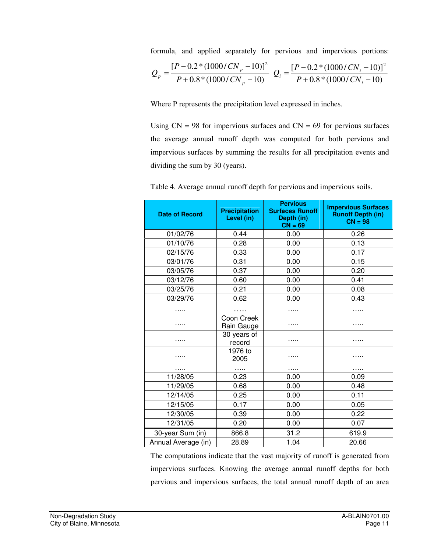formula, and applied separately for pervious and impervious portions:

$$
Q_p = \frac{[P - 0.2 * (1000 / CN_p - 10)]^2}{P + 0.8 * (1000 / CN_p - 10)} Q_i = \frac{[P - 0.2 * (1000 / CN_i - 10)]^2}{P + 0.8 * (1000 / CN_i - 10)}
$$

Where P represents the precipitation level expressed in inches.

Using  $CN = 98$  for impervious surfaces and  $CN = 69$  for pervious surfaces the average annual runoff depth was computed for both pervious and impervious surfaces by summing the results for all precipitation events and dividing the sum by 30 (years).

| <b>Date of Record</b> | <b>Precipitation</b><br>Level (in) | <b>Pervious</b><br><b>Surfaces Runoff</b><br>Depth (in)<br>$CN = 69$ | <b>Impervious Surfaces</b><br><b>Runoff Depth (in)</b><br>$CN = 98$ |
|-----------------------|------------------------------------|----------------------------------------------------------------------|---------------------------------------------------------------------|
| 01/02/76              | 0.44                               | 0.00                                                                 | 0.26                                                                |
| 01/10/76              | 0.28                               | 0.00                                                                 | 0.13                                                                |
| 02/15/76              | 0.33                               | 0.00                                                                 | 0.17                                                                |
| 03/01/76              | 0.31                               | 0.00                                                                 | 0.15                                                                |
| 03/05/76              | 0.37                               | 0.00                                                                 | 0.20                                                                |
| 03/12/76              | 0.60                               | 0.00                                                                 | 0.41                                                                |
| 03/25/76              | 0.21                               | 0.00                                                                 | 0.08                                                                |
| 03/29/76              | 0.62                               | 0.00                                                                 | 0.43                                                                |
| .                     |                                    | .                                                                    | .                                                                   |
|                       | Coon Creek<br>Rain Gauge           |                                                                      |                                                                     |
| .                     | 30 years of<br>record              |                                                                      | .                                                                   |
|                       | 1976 to<br>2005                    |                                                                      |                                                                     |
|                       |                                    | .                                                                    | .                                                                   |
| 11/28/05              | 0.23                               | 0.00                                                                 | 0.09                                                                |
| 11/29/05              | 0.68                               | 0.00                                                                 | 0.48                                                                |
| 12/14/05              | 0.25                               | 0.00                                                                 | 0.11                                                                |
| 12/15/05              | 0.17                               | 0.00                                                                 | 0.05                                                                |
| 12/30/05              | 0.39                               | 0.00                                                                 | 0.22                                                                |
| 12/31/05              | 0.20                               | 0.00                                                                 | 0.07                                                                |
| 30-year Sum (in)      | 866.8                              | 31.2                                                                 | 619.9                                                               |
| Annual Average (in)   | 28.89                              | 1.04                                                                 | 20.66                                                               |

Table 4. Average annual runoff depth for pervious and impervious soils.

The computations indicate that the vast majority of runoff is generated from impervious surfaces. Knowing the average annual runoff depths for both pervious and impervious surfaces, the total annual runoff depth of an area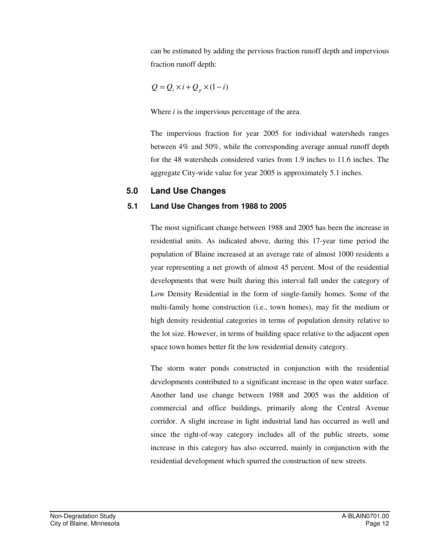can be estimated by adding the pervious fraction runoff depth and impervious fraction runoff depth:

$$
Q = Q_i \times i + Q_p \times (1 - i)
$$

Where *i* is the impervious percentage of the area.

The impervious fraction for year 2005 for individual watersheds ranges between 4% and 50%, while the corresponding average annual runoff depth for the 48 watersheds considered varies from 1.9 inches to 11.6 inches. The aggregate City-wide value for year 2005 is approximately 5.1 inches.

### **5.0 Land Use Changes**

#### **5.1 Land Use Changes from 1988 to 2005**

The most significant change between 1988 and 2005 has been the increase in residential units. As indicated above, during this 17-year time period the population of Blaine increased at an average rate of almost 1000 residents a year representing a net growth of almost 45 percent. Most of the residential developments that were built during this interval fall under the category of Low Density Residential in the form of single-family homes. Some of the multi-family home construction (i.e., town homes), may fit the medium or high density residential categories in terms of population density relative to the lot size. However, in terms of building space relative to the adjacent open space town homes better fit the low residential density category.

The storm water ponds constructed in conjunction with the residential developments contributed to a significant increase in the open water surface. Another land use change between 1988 and 2005 was the addition of commercial and office buildings, primarily along the Central Avenue corridor. A slight increase in light industrial land has occurred as well and since the right-of-way category includes all of the public streets, some increase in this category has also occurred, mainly in conjunction with the residential development which spurred the construction of new streets.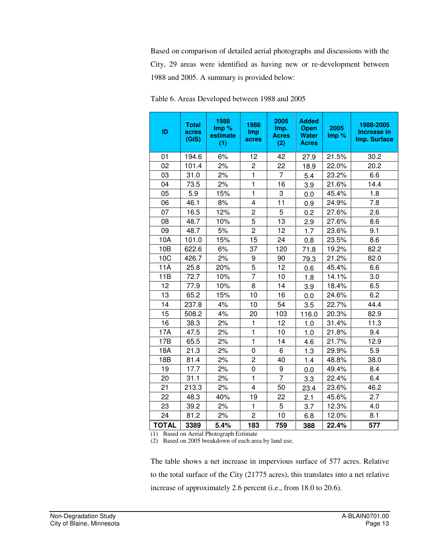Based on comparison of detailed aerial photographs and discussions with the City, 29 areas were identified as having new or re-development between 1988 and 2005. A summary is provided below:

| ID           | <b>Total</b><br>acres<br>(GIS) | 1988<br>Imp %<br>estimate<br>(1) | 1988<br>Imp<br>acres | 2005<br>Imp.<br><b>Acres</b><br>(2) | <b>Added</b><br><b>Open</b><br><b>Water</b><br><b>Acres</b> | 2005<br>Imp% | 1988-2005<br>Increase in<br>Imp. Surface |
|--------------|--------------------------------|----------------------------------|----------------------|-------------------------------------|-------------------------------------------------------------|--------------|------------------------------------------|
| 01           | 194.6                          | 6%                               | 12                   | 42                                  | 27.9                                                        | 21.5%        | 30.2                                     |
| 02           | 101.4                          | 2%                               | $\overline{c}$       | 22                                  | 18.9                                                        | 22.0%        | 20.2                                     |
| 03           | 31.0                           | 2%                               | $\mathbf{1}$         | $\overline{7}$                      | 5.4                                                         | 23.2%        | 6.6                                      |
| 04           | 73.5                           | 2%                               | $\mathbf{1}$         | 16                                  | 3.9                                                         | 21.6%        | 14.4                                     |
| 05           | 5.9                            | 15%                              | $\mathbf{1}$         | 3                                   | 0.0                                                         | 45.4%        | 1.8                                      |
| 06           | 46.1                           | 8%                               | 4                    | 11                                  | 0.9                                                         | 24.9%        | 7.8                                      |
| 07           | 16.5                           | 12%                              | $\overline{c}$       | 5                                   | 0.2                                                         | 27.6%        | 2.6                                      |
| 08           | 48.7                           | 10%                              | 5                    | 13                                  | 2.9                                                         | 27.6%        | 8.6                                      |
| 09           | 48.7                           | 5%                               | $\overline{2}$       | 12                                  | 1.7                                                         | 23.6%        | 9.1                                      |
| 10A          | 101.0                          | 15%                              | 15                   | 24                                  | 0.8                                                         | 23.5%        | 8.6                                      |
| 10B          | 622.6                          | 6%                               | 37                   | 120                                 | 71.8                                                        | 19.2%        | 82.2                                     |
| 10C          | 426.7                          | 2%                               | 9                    | 90                                  | 79.3                                                        | 21.2%        | 82.0                                     |
| 11A          | 25.8                           | 20%                              | 5                    | 12                                  | 0.6                                                         | 45.4%        | 6.6                                      |
| 11B          | 72.7                           | 10%                              | $\overline{7}$       | 10                                  | 1.8                                                         | 14.1%        | 3.0                                      |
| 12           | 77.9                           | 10%                              | 8                    | 14                                  | 3.9                                                         | 18.4%        | 6.5                                      |
| 13           | 65.2                           | 15%                              | 10                   | 16                                  | 0.0                                                         | 24.6%        | 6.2                                      |
| 14           | 237.8                          | 4%                               | 10                   | 54                                  | 3.5                                                         | 22.7%        | 44.4                                     |
| 15           | 508.2                          | 4%                               | 20                   | 103                                 | 116.0                                                       | 20.3%        | 82.9                                     |
| 16           | 38.3                           | 2%                               | 1                    | 12                                  | 1.0                                                         | 31.4%        | 11.3                                     |
| 17A          | 47.5                           | 2%                               | $\mathbf{1}$         | 10                                  | 1.0                                                         | 21.8%        | 9.4                                      |
| 17B          | 65.5                           | 2%                               | $\mathbf{1}$         | 14                                  | 4.6                                                         | 21.7%        | 12.9                                     |
| 18A          | 21.3                           | 2%                               | 0                    | 6                                   | 1.3                                                         | 29.9%        | 5.9                                      |
| 18B          | 81.4                           | 2%                               | $\overline{2}$       | 40                                  | 1.4                                                         | 48.8%        | 38.0                                     |
| 19           | 17.7                           | 2%                               | 0                    | 9                                   | 0.0                                                         | 49.4%        | 8.4                                      |
| 20           | 31.1                           | 2%                               | 1                    | $\overline{7}$                      | 3.3                                                         | 22.4%        | 6.4                                      |
| 21           | 213.3                          | 2%                               | 4                    | 50                                  | 23.4                                                        | 23.6%        | 46.2                                     |
| 22           | 48.3                           | 40%                              | 19                   | 22                                  | 2.1                                                         | 45.6%        | 2.7                                      |
| 23           | 39.2                           | 2%                               | $\mathbf{1}$         | 5                                   | 3.7                                                         | 12.3%        | 4.0                                      |
| 24           | 81.2                           | 2%                               | $\overline{c}$       | 10                                  | 6.8                                                         | 12.0%        | 8.1                                      |
| <b>TOTAL</b> | 3389                           | 5.4%                             | 183                  | 759                                 | 388                                                         | 22.4%        | 577                                      |

Table 6. Areas Developed between 1988 and 2005

(1) Based on Aerial Photograph Estimate

(2) Based on 2005 breakdown of each area by land use.

The table shows a net increase in impervious surface of 577 acres. Relative to the total surface of the City (21775 acres), this translates into a net relative increase of approximately 2.6 percent (i.e., from 18.0 to 20.6).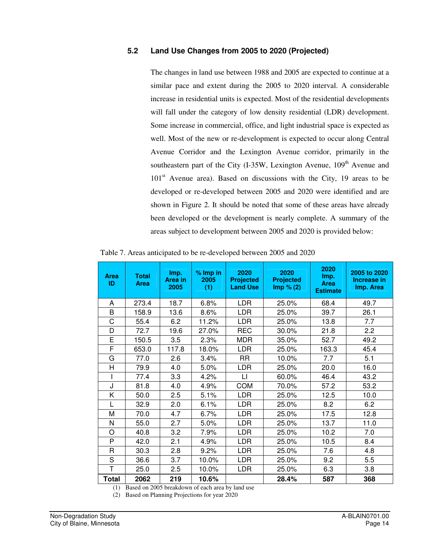### **5.2 Land Use Changes from 2005 to 2020 (Projected)**

The changes in land use between 1988 and 2005 are expected to continue at a similar pace and extent during the 2005 to 2020 interval. A considerable increase in residential units is expected. Most of the residential developments will fall under the category of low density residential (LDR) development. Some increase in commercial, office, and light industrial space is expected as well. Most of the new or re-development is expected to occur along Central Avenue Corridor and the Lexington Avenue corridor, primarily in the southeastern part of the City  $(I-35W,$  Lexington Avenue,  $109<sup>th</sup>$  Avenue and  $101<sup>st</sup>$  Avenue area). Based on discussions with the City, 19 areas to be developed or re-developed between 2005 and 2020 were identified and are shown in Figure 2. It should be noted that some of these areas have already been developed or the development is nearly complete. A summary of the areas subject to development between 2005 and 2020 is provided below:

Table 7. Areas anticipated to be re-developed between 2005 and 2020

| <b>Area</b><br>ID | <b>Total</b><br><b>Area</b> | Imp.<br>Area in<br>2005 | $%$ Imp in<br>2005<br>(1) | 2020<br><b>Projected</b><br><b>Land Use</b> | 2020<br><b>Projected</b><br>Imp % (2) | 2020<br>Imp.<br><b>Area</b><br><b>Estimate</b> | 2005 to 2020<br>Increase in<br>Imp. Area |
|-------------------|-----------------------------|-------------------------|---------------------------|---------------------------------------------|---------------------------------------|------------------------------------------------|------------------------------------------|
| A                 | 273.4                       | 18.7                    | 6.8%                      | LDR.                                        | 25.0%                                 | 68.4                                           | 49.7                                     |
| B                 | 158.9                       | 13.6                    | 8.6%                      | LDR                                         | 25.0%                                 | 39.7                                           | 26.1                                     |
| C                 | 55.4                        | 6.2                     | 11.2%                     | <b>LDR</b>                                  | 25.0%                                 | 13.8                                           | 7.7                                      |
| D                 | 72.7                        | 19.6                    | 27.0%                     | <b>REC</b>                                  | 30.0%                                 | 21.8                                           | 2.2                                      |
| E                 | 150.5                       | 3.5                     | 2.3%                      | <b>MDR</b>                                  | 35.0%                                 | 52.7                                           | 49.2                                     |
| F                 | 653.0                       | 117.8                   | 18.0%                     | <b>LDR</b>                                  | 25.0%                                 | 163.3                                          | 45.4                                     |
| G                 | 77.0                        | 2.6                     | 3.4%                      | <b>RR</b>                                   | 10.0%                                 | 7.7                                            | 5.1                                      |
| н                 | 79.9                        | 4.0                     | 5.0%                      | <b>LDR</b>                                  | 25.0%                                 | 20.0                                           | 16.0                                     |
|                   | 77.4                        | 3.3                     | 4.2%                      | LI                                          | 60.0%                                 | 46.4                                           | 43.2                                     |
| J                 | 81.8                        | 4.0                     | 4.9%                      | <b>COM</b>                                  | 70.0%                                 | 57.2                                           | 53.2                                     |
| Κ                 | 50.0                        | 2.5                     | 5.1%                      | <b>LDR</b>                                  | 25.0%                                 | 12.5                                           | 10.0                                     |
| L                 | 32.9                        | 2.0                     | 6.1%                      | <b>LDR</b>                                  | 25.0%                                 | 8.2                                            | 6.2                                      |
| M                 | 70.0                        | 4.7                     | 6.7%                      | <b>LDR</b>                                  | 25.0%                                 | 17.5                                           | 12.8                                     |
| N                 | 55.0                        | 2.7                     | 5.0%                      | <b>LDR</b>                                  | 25.0%                                 | 13.7                                           | 11.0                                     |
| O                 | 40.8                        | 3.2                     | 7.9%                      | <b>LDR</b>                                  | 25.0%                                 | 10.2                                           | 7.0                                      |
| P                 | 42.0                        | 2.1                     | 4.9%                      | <b>LDR</b>                                  | 25.0%                                 | 10.5                                           | 8.4                                      |
| R                 | 30.3                        | 2.8                     | 9.2%                      | <b>LDR</b>                                  | 25.0%                                 | 7.6                                            | 4.8                                      |
| S                 | 36.6                        | 3.7                     | 10.0%                     | <b>LDR</b>                                  | 25.0%                                 | 9.2                                            | 5.5                                      |
| $\overline{\top}$ | 25.0                        | 2.5                     | 10.0%                     | <b>LDR</b>                                  | 25.0%                                 | 6.3                                            | 3.8                                      |
| <b>Total</b>      | 2062                        | 219                     | 10.6%                     |                                             | 28.4%                                 | 587                                            | 368                                      |

(1) Based on 2005 breakdown of each area by land use

(2) Based on Planning Projections for year 2020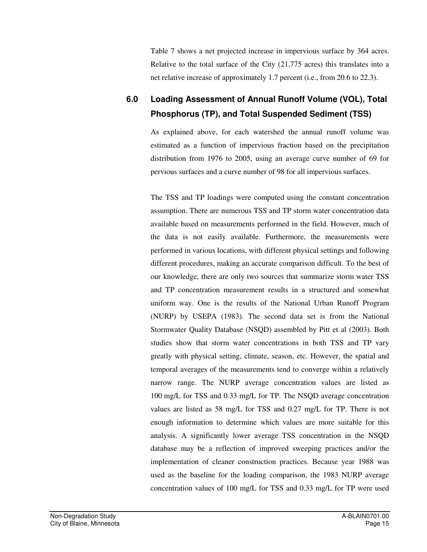Table 7 shows a net projected increase in impervious surface by 364 acres. Relative to the total surface of the City (21,775 acres) this translates into a net relative increase of approximately 1.7 percent (i.e., from 20.6 to 22.3).

### **6.0 Loading Assessment of Annual Runoff Volume (VOL), Total Phosphorus (TP), and Total Suspended Sediment (TSS)**

As explained above, for each watershed the annual runoff volume was estimated as a function of impervious fraction based on the precipitation distribution from 1976 to 2005, using an average curve number of 69 for pervious surfaces and a curve number of 98 for all impervious surfaces.

The TSS and TP loadings were computed using the constant concentration assumption. There are numerous TSS and TP storm water concentration data available based on measurements performed in the field. However, much of the data is not easily available. Furthermore, the measurements were performed in various locations, with different physical settings and following different procedures, making an accurate comparison difficult. To the best of our knowledge, there are only two sources that summarize storm water TSS and TP concentration measurement results in a structured and somewhat uniform way. One is the results of the National Urban Runoff Program (NURP) by USEPA (1983). The second data set is from the National Stormwater Quality Database (NSQD) assembled by Pitt et al (2003). Both studies show that storm water concentrations in both TSS and TP vary greatly with physical setting, climate, season, etc. However, the spatial and temporal averages of the measurements tend to converge within a relatively narrow range. The NURP average concentration values are listed as 100 mg/L for TSS and 0.33 mg/L for TP. The NSQD average concentration values are listed as 58 mg/L for TSS and 0.27 mg/L for TP. There is not enough information to determine which values are more suitable for this analysis. A significantly lower average TSS concentration in the NSQD database may be a reflection of improved sweeping practices and/or the implementation of cleaner construction practices. Because year 1988 was used as the baseline for the loading comparison, the 1983 NURP average concentration values of 100 mg/L for TSS and 0.33 mg/L for TP were used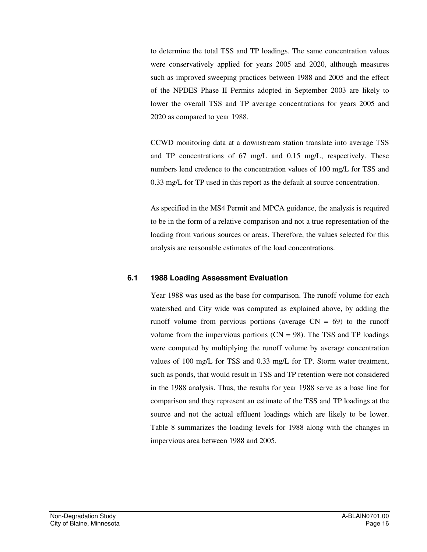to determine the total TSS and TP loadings. The same concentration values were conservatively applied for years 2005 and 2020, although measures such as improved sweeping practices between 1988 and 2005 and the effect of the NPDES Phase II Permits adopted in September 2003 are likely to lower the overall TSS and TP average concentrations for years 2005 and 2020 as compared to year 1988.

CCWD monitoring data at a downstream station translate into average TSS and TP concentrations of 67 mg/L and 0.15 mg/L, respectively. These numbers lend credence to the concentration values of 100 mg/L for TSS and 0.33 mg/L for TP used in this report as the default at source concentration.

As specified in the MS4 Permit and MPCA guidance, the analysis is required to be in the form of a relative comparison and not a true representation of the loading from various sources or areas. Therefore, the values selected for this analysis are reasonable estimates of the load concentrations.

### **6.1 1988 Loading Assessment Evaluation**

Year 1988 was used as the base for comparison. The runoff volume for each watershed and City wide was computed as explained above, by adding the runoff volume from pervious portions (average  $CN = 69$ ) to the runoff volume from the impervious portions  $(CN = 98)$ . The TSS and TP loadings were computed by multiplying the runoff volume by average concentration values of 100 mg/L for TSS and 0.33 mg/L for TP. Storm water treatment, such as ponds, that would result in TSS and TP retention were not considered in the 1988 analysis. Thus, the results for year 1988 serve as a base line for comparison and they represent an estimate of the TSS and TP loadings at the source and not the actual effluent loadings which are likely to be lower. Table 8 summarizes the loading levels for 1988 along with the changes in impervious area between 1988 and 2005.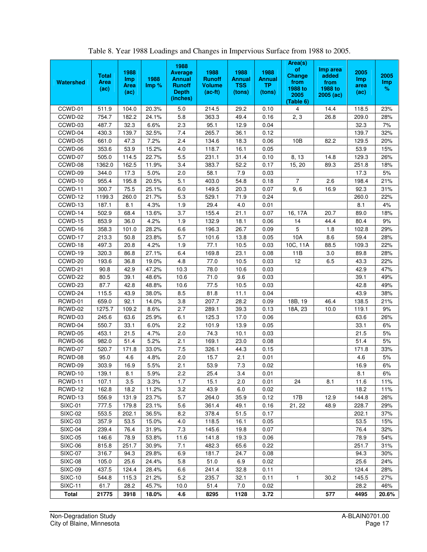|                       |                     |                    |       | 1988                            |                       |                       |                       | Area(s)<br>of       | Imp area        |             |          |
|-----------------------|---------------------|--------------------|-------|---------------------------------|-----------------------|-----------------------|-----------------------|---------------------|-----------------|-------------|----------|
|                       | <b>Total</b>        | 1988<br><b>Imp</b> | 1988  | <b>Average</b><br><b>Annual</b> | 1988<br><b>Runoff</b> | 1988<br><b>Annual</b> | 1988<br><b>Annual</b> | Change              | added           | 2005<br>Imp | 2005     |
| Watershed             | <b>Area</b><br>(ac) | Area               | Imp % | <b>Runoff</b>                   | <b>Volume</b>         | <b>TSS</b>            | <b>TP</b>             | from<br>1988 to     | from<br>1988 to | area        | Imp<br>% |
|                       |                     | (ac)               |       | <b>Depth</b>                    | $(ac-fit)$            | (tons)                | (tons)                | 2005                | $2005$ (ac)     | (ac)        |          |
|                       |                     |                    |       | (inches)                        |                       |                       |                       | (Table 6)           |                 |             |          |
| CCWD-01               | 511.9               | 104.0              | 20.3% | 5.0                             | 214.5                 | 29.2                  | 0.10                  | 4                   | 14.4            | 118.5       | 23%      |
| CCWD-02               | 754.7               | 182.2              | 24.1% | 5.8                             | 363.3                 | 49.4                  | 0.16                  | 2, 3                | 26.8            | 209.0       | 28%      |
| CCWD-03               | 487.7               | 32.3               | 6.6%  | 2.3                             | 95.1                  | 12.9                  | 0.04                  |                     |                 | 32.3        | 7%       |
| CCWD-04               | 430.3               | 139.7              | 32.5% | 7.4                             | 265.7                 | 36.1                  | 0.12                  |                     |                 | 139.7       | 32%      |
| CCWD-05               | 661.0               | 47.3               | 7.2%  | 2.4                             | 134.6                 | 18.3                  | 0.06                  | 10B                 | 82.2            | 129.5       | 20%      |
| CCWD-06               | 353.6               | 53.9               | 15.2% | 4.0                             | 118.7                 | 16.1                  | 0.05                  |                     |                 | 53.9        | 15%      |
| CCWD-07               | 505.0               | 114.5              | 22.7% | 5.5                             | 231.1                 | 31.4                  | 0.10                  | $\overline{8}$ , 13 | 14.8            | 129.3       | 26%      |
| CCWD-08               | 1362.0              | 162.5              | 11.9% | 3.4                             | 383.7                 | 52.2                  | 0.17                  | 15, 20              | 89.3            | 251.8       | 18%      |
| CCWD-09               | 344.0               | 17.3               | 5.0%  | 2.0                             | 58.1                  | 7.9                   | 0.03                  |                     |                 | 17.3        | $5%$     |
| CCWD-10               | 955.4               | 195.8              | 20.5% | 5.1                             | 403.0                 | 54.8                  | 0.18                  | $\overline{7}$      | 2.6             | 198.4       | 21%      |
| CCWD-11               | 300.7               | 75.5               | 25.1% | 6.0                             | 149.5                 | 20.3                  | 0.07                  | 9, 6                | 16.9            | 92.3        | 31%      |
| CCWD-12               | 1199.3              | 260.0              | 21.7% | 5.3                             | 529.1                 | 71.9                  | 0.24                  |                     |                 | 260.0       | 22%      |
| CCWD-13               | 187.1               | 8.1                | 4.3%  | 1.9                             | 29.4                  | 4.0                   | 0.01                  |                     |                 | 8.1         | 4%       |
| CCWD-14               | 502.9               | 68.4               | 13.6% | 3.7                             | 155.4                 | 21.1                  | 0.07                  | 16, 17A             | 20.7            | 89.0        | 18%      |
| CCWD-15               | 853.9               | 36.0               | 4.2%  | 1.9                             | 132.9                 | 18.1                  | 0.06                  | 14                  | 44.4            | 80.4        | 9%       |
| CCWD-16               | 358.3               | 101.0              | 28.2% | 6.6                             | 196.3                 | 26.7                  | 0.09                  | 5                   | 1.8             | 102.8       | 29%      |
| CCWD-17               | 213.3               | 50.8               | 23.8% | 5.7                             | 101.6                 | 13.8                  | 0.05                  | 10A                 | 8.6             | 59.4        | 28%      |
| CCWD-18               | 497.3               | 20.8               | 4.2%  | 1.9                             | 77.1                  | 10.5                  | 0.03                  | 10C, 11A            | 88.5            | 109.3       | 22%      |
| CCWD-19               | 320.3               | 86.8               | 27.1% | 6.4                             | 169.8                 | 23.1                  | 0.08                  | 11B                 | 3.0             | 89.8        | 28%      |
| CCWD-20               | 193.6               | 36.8               | 19.0% | 4.8                             | 77.0                  | 10.5                  | 0.03                  | 12                  | 6.5             | 43.3        | 22%      |
| CCWD-21               | 90.8                | 42.9               | 47.2% | 10.3                            | 78.0                  | 10.6                  | 0.03                  |                     |                 | 42.9        | 47%      |
| CCWD-22               | 80.5                | 39.1               | 48.6% | 10.6                            | 71.0                  | 9.6                   | 0.03                  |                     |                 | 39.1        | 49%      |
| CCWD-23               | 87.7                | 42.8               | 48.8% | 10.6                            | 77.5                  | 10.5                  | 0.03                  |                     |                 | 42.8        | 49%      |
| CCWD-24               | 115.5               | 43.9               | 38.0% | 8.5                             | 81.8                  | 11.1                  | 0.04                  |                     |                 | 43.9        | 38%      |
| RCWD-01               | 659.0               | 92.1               | 14.0% | 3.8                             | 207.7                 | 28.2                  | 0.09                  | 18B, 19             | 46.4            | 138.5       | 21%      |
| RCWD-02               | 1275.7              | 109.2              | 8.6%  | 2.7                             | 289.1                 | 39.3                  | 0.13                  | 18A, 23             | 10.0            | 119.1       | 9%       |
| RCWD-03               | 245.6               | 63.6               | 25.9% | 6.1                             | 125.3                 | 17.0                  | 0.06                  |                     |                 | 63.6        | 26%      |
| RCWD-04               | 550.7               | 33.1               | 6.0%  | 2.2                             | 101.9                 | 13.9                  | 0.05                  |                     |                 | 33.1        | 6%       |
| RCWD-05               | 453.1               | 21.5               | 4.7%  | 2.0                             | 74.3                  | 10.1                  | 0.03                  |                     |                 | 21.5        | 5%       |
| RCWD-06               | 982.0               | 51.4               | 5.2%  | 2.1                             | 169.1                 | 23.0                  | 0.08                  |                     |                 | 51.4        | 5%       |
| RCWD-07               | 520.7               | 171.8              | 33.0% | 7.5                             | 326.1                 | 44.3                  | 0.15                  |                     |                 | 171.8       | 33%      |
| RCWD-08               | 95.0                | 4.6                | 4.8%  | 2.0                             | 15.7                  | 2.1                   | 0.01                  |                     |                 | 4.6         | 5%       |
| RCWD-09               | 303.9               | 16.9               | 5.5%  | 2.1                             | 53.9                  | 7.3                   | 0.02                  |                     |                 | 16.9        | 6%       |
| RCWD-10               | 139.1               | 8.1                | 5.9%  | 2.2                             | 25.4                  | 3.4                   | 0.01                  |                     |                 | 8.1         | 6%       |
| RCWD-11               | 107.1               | 3.5                | 3.3%  | 1.7                             | 15.1                  | 2.0                   | 0.01                  | 24                  | 8.1             | 11.6        | 11%      |
| RCWD-12               | 162.8               | 18.2               | 11.2% | 3.2                             | 43.9                  | 6.0                   | 0.02                  |                     |                 | 18.2        | 11%      |
| RCWD-13               | 556.9               | 131.9              | 23.7% | 5.7                             | 264.0                 | 35.9                  | 0.12                  | 17B                 | 12.9            | 144.8       | 26%      |
| SIXC-01               | 777.5               | 179.8              | 23.1% | 5.6                             | 361.4                 | 49.1                  | 0.16                  | 21, 22              | 48.9            | 228.7       | 29%      |
| <b>SIXC-02</b>        | 553.5               | 202.1              | 36.5% | 8.2                             | 378.4                 | 51.5                  | 0.17                  |                     |                 | 202.1       | 37%      |
| <b>SIXC-03</b>        | 357.9               | 53.5               | 15.0% | 4.0                             | 118.5                 | 16.1                  | 0.05                  |                     |                 | 53.5        | 15%      |
| SIXC-04               | 239.4               | 76.4               | 31.9% | 7.3                             | 145.6                 | 19.8                  | 0.07                  |                     |                 | 76.4        | 32%      |
| <b>SIXC-05</b>        | 146.6               | 78.9               | 53.8% | 11.6                            | 141.8                 | 19.3                  | 0.06                  |                     |                 | 78.9        | 54%      |
| <b>SIXC-06</b>        | 815.8               | 251.7              | 30.9% | 7.1                             | 482.3                 | 65.6                  | 0.22                  |                     |                 | 251.7       | 31%      |
| SIXC-07               | 316.7               | 94.3               | 29.8% | 6.9                             | 181.7                 | 24.7                  | 0.08                  |                     |                 | 94.3        | 30%      |
| SIXC-08               | 105.0               | 25.6               | 24.4% | 5.8                             | 51.0                  | 6.9                   | 0.02                  |                     |                 | 25.6        | 24%      |
| <b>SIXC-09</b>        | 437.5               | 124.4              | 28.4% | 6.6                             | 241.4                 | 32.8                  | 0.11                  |                     |                 | 124.4       | 28%      |
| <b>SIXC-10</b>        | 544.8               | 115.3              | 21.2% | 5.2                             | 235.7                 | 32.1                  | 0.11                  | 1                   | 30.2            | 145.5       | 27%      |
| $\overline{S}$ IXC-11 | 61.7                | 28.2               | 45.7% | 10.0                            | 51.4                  | 7.0                   | 0.02                  |                     |                 | 28.2        | 46%      |
| <b>Total</b>          | 21775               | 3918               | 18.0% | 4.6                             | 8295                  | 1128                  | 3.72                  |                     | 577             | 4495        | 20.6%    |

Table 8. Year 1988 Loadings and Changes in Impervious Surface from 1988 to 2005.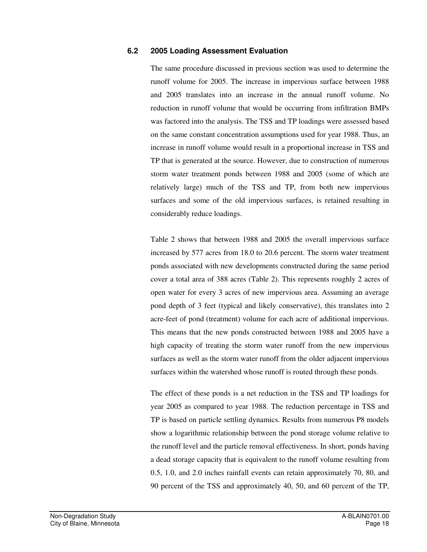#### **6.2 2005 Loading Assessment Evaluation**

The same procedure discussed in previous section was used to determine the runoff volume for 2005. The increase in impervious surface between 1988 and 2005 translates into an increase in the annual runoff volume. No reduction in runoff volume that would be occurring from infiltration BMPs was factored into the analysis. The TSS and TP loadings were assessed based on the same constant concentration assumptions used for year 1988. Thus, an increase in runoff volume would result in a proportional increase in TSS and TP that is generated at the source. However, due to construction of numerous storm water treatment ponds between 1988 and 2005 (some of which are relatively large) much of the TSS and TP, from both new impervious surfaces and some of the old impervious surfaces, is retained resulting in considerably reduce loadings.

Table 2 shows that between 1988 and 2005 the overall impervious surface increased by 577 acres from 18.0 to 20.6 percent. The storm water treatment ponds associated with new developments constructed during the same period cover a total area of 388 acres (Table 2). This represents roughly 2 acres of open water for every 3 acres of new impervious area. Assuming an average pond depth of 3 feet (typical and likely conservative), this translates into 2 acre-feet of pond (treatment) volume for each acre of additional impervious. This means that the new ponds constructed between 1988 and 2005 have a high capacity of treating the storm water runoff from the new impervious surfaces as well as the storm water runoff from the older adjacent impervious surfaces within the watershed whose runoff is routed through these ponds.

The effect of these ponds is a net reduction in the TSS and TP loadings for year 2005 as compared to year 1988. The reduction percentage in TSS and TP is based on particle settling dynamics. Results from numerous P8 models show a logarithmic relationship between the pond storage volume relative to the runoff level and the particle removal effectiveness. In short, ponds having a dead storage capacity that is equivalent to the runoff volume resulting from 0.5, 1.0, and 2.0 inches rainfall events can retain approximately 70, 80, and 90 percent of the TSS and approximately 40, 50, and 60 percent of the TP,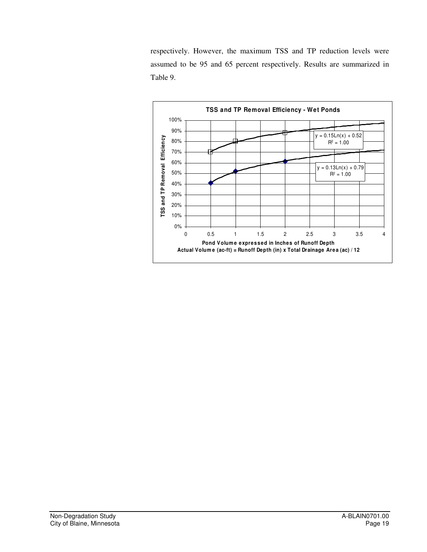respectively. However, the maximum TSS and TP reduction levels were assumed to be 95 and 65 percent respectively. Results are summarized in Table 9.

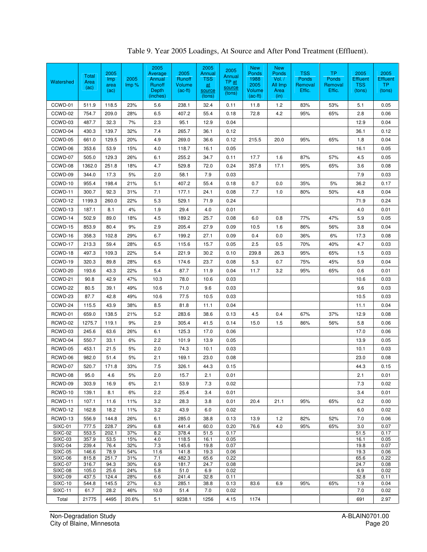| Watershed                 | Total<br>Area<br>(ac) | 2005<br><i>lmp</i><br>area<br>(ac) | 2005<br>$\mathsf{Imp} \mathscr{\%}$ | 2005<br>Average<br>Annual<br>Runoff<br>Depth<br>(inches) | 2005<br>Runoff<br>Volume<br>$(ac-fit)$ | 2005<br>Annual<br><b>TSS</b><br><u>at</u><br>source<br>(tons) | 2005<br>Annual<br>$TP_{at}$<br>source<br>(tons) | <b>New</b><br>Ponds<br>1988<br>2005<br>Volume<br>$(ac-ft)$ | <b>New</b><br>Ponds<br>Vol. /<br>All Imp<br>Area<br>(in) | <b>TSS</b><br>Ponds<br>Removal<br>Effic. | <b>TP</b><br>Ponds<br>Removal<br>Effic. | 2005<br><b>Effluent</b><br><b>TSS</b><br>(tons) | 2005<br><b>Effluent</b><br><b>TP</b><br>(tons) |
|---------------------------|-----------------------|------------------------------------|-------------------------------------|----------------------------------------------------------|----------------------------------------|---------------------------------------------------------------|-------------------------------------------------|------------------------------------------------------------|----------------------------------------------------------|------------------------------------------|-----------------------------------------|-------------------------------------------------|------------------------------------------------|
| CCWD-01                   | 511.9                 | 118.5                              | 23%                                 | 5.6                                                      | 238.1                                  | 32.4                                                          | 0.11                                            | 11.8                                                       | $1.2$                                                    | 83%                                      | 53%                                     | 5.1                                             | 0.05                                           |
| CCWD-02                   | 754.7                 | 209.0                              | 28%                                 | 6.5                                                      | 407.2                                  | 55.4                                                          | 0.18                                            | 72.8                                                       | 4.2                                                      | 95%                                      | 65%                                     | 2.8                                             | 0.06                                           |
| CCWD-03                   | 487.7                 | 32.3                               | 7%                                  | 2.3                                                      | 95.1                                   | 12.9                                                          | 0.04                                            |                                                            |                                                          |                                          |                                         | 12.9                                            | 0.04                                           |
| CCWD-04                   | 430.3                 | 139.7                              | 32%                                 | 7.4                                                      | 265.7                                  | 36.1                                                          | 0.12                                            |                                                            |                                                          |                                          |                                         | 36.1                                            | 0.12                                           |
| CCWD-05                   | 661.0                 | 129.5                              | 20%                                 | 4.9                                                      | 269.0                                  | 36.6                                                          | 0.12                                            | 215.5                                                      | 20.0                                                     | 95%                                      | 65%                                     | 1.8                                             | 0.04                                           |
| CCWD-06                   | 353.6                 | 53.9                               | 15%                                 | 4.0                                                      | 118.7                                  | 16.1                                                          | 0.05                                            |                                                            |                                                          |                                          |                                         | 16.1                                            | 0.05                                           |
| CCWD-07                   | 505.0                 | 129.3                              | 26%                                 | 6.1                                                      | 255.2                                  | 34.7                                                          | 0.11                                            | 17.7                                                       | 1.6                                                      | 87%                                      | 57%                                     | 4.5                                             | 0.05                                           |
| CCWD-08                   | 1362.0                | 251.8                              | 18%                                 | 4.7                                                      | 529.8                                  | 72.0                                                          | 0.24                                            | 357.8                                                      | 17.1                                                     | 95%                                      | 65%                                     | 3.6                                             | 0.08                                           |
| CCWD-09                   | 344.0                 | 17.3                               | 5%                                  | 2.0                                                      | 58.1                                   | 7.9                                                           | 0.03                                            |                                                            |                                                          |                                          |                                         | 7.9                                             | 0.03                                           |
| CCWD-10                   | 955.4                 | 198.4                              | 21%                                 | 5.1                                                      | 407.2                                  | 55.4                                                          | 0.18                                            | 0.7                                                        | 0.0                                                      | 35%                                      | 5%                                      | 36.2                                            | 0.17                                           |
| CCWD-11                   | 300.7                 | 92.3                               | 31%                                 | 7.1                                                      | 177.1                                  | 24.1                                                          | 0.08                                            | 7.7                                                        | 1.0                                                      | 80%                                      | 50%                                     | 4.8                                             | 0.04                                           |
| CCWD-12                   | 1199.3                | 260.0                              | 22%                                 | 5.3                                                      | 529.1                                  | 71.9                                                          | 0.24                                            |                                                            |                                                          |                                          |                                         | 71.9                                            | 0.24                                           |
| CCWD-13                   | 187.1                 | 8.1                                | 4%                                  | 1.9                                                      | 29.4                                   | 4.0                                                           | 0.01                                            |                                                            |                                                          |                                          |                                         | 4.0                                             | 0.01                                           |
| CCWD-14                   | 502.9                 | 89.0                               | 18%                                 | 4.5                                                      | 189.2                                  | 25.7                                                          | 0.08                                            | 6.0                                                        | 0.8                                                      | 77%                                      | 47%                                     | 5.9                                             | 0.05                                           |
| CCWD-15                   | 853.9                 | 80.4                               | 9%                                  | 2.9                                                      | 205.4                                  | 27.9                                                          | 0.09                                            | 10.5                                                       | 1.6                                                      | 86%                                      | 56%                                     | 3.8                                             | 0.04                                           |
| CCWD-16                   | 358.3                 | 102.8                              | 29%                                 | 6.7                                                      | 199.2                                  | 27.1                                                          | 0.09                                            | 0.4                                                        | 0.0                                                      | 36%                                      | 6%                                      | 17.3                                            | 0.08                                           |
| CCWD-17                   | 213.3                 | 59.4                               | 28%                                 | 6.5                                                      | 115.6                                  | 15.7                                                          | 0.05                                            | 2.5                                                        | 0.5                                                      | 70%                                      | 40%                                     | 4.7                                             | 0.03                                           |
| CCWD-18                   | 497.3                 | 109.3                              | 22%                                 | 5.4                                                      | 221.9                                  | 30.2                                                          | 0.10                                            | 239.8                                                      | 26.3                                                     | 95%                                      | 65%                                     | 1.5                                             | 0.03                                           |
| CCWD-19                   | 320.3                 | 89.8                               | 28%                                 | 6.5                                                      | 174.6                                  | 23.7                                                          | 0.08                                            | 5.3                                                        | 0.7                                                      | 75%                                      | 45%                                     | 5.9                                             | 0.04                                           |
| CCWD-20                   | 193.6                 | 43.3                               | 22%                                 | 5.4                                                      | 87.7                                   | 11.9                                                          | 0.04                                            | 11.7                                                       | 3.2                                                      | 95%                                      | 65%                                     | 0.6                                             | 0.01                                           |
| CCWD-21                   | 90.8                  | 42.9                               | 47%                                 | 10.3                                                     | 78.0                                   | 10.6                                                          | 0.03                                            |                                                            |                                                          |                                          |                                         | 10.6                                            | 0.03                                           |
| CCWD-22                   | 80.5                  | 39.1                               | 49%                                 | 10.6                                                     | 71.0                                   | 9.6                                                           | 0.03                                            |                                                            |                                                          |                                          |                                         | 9.6                                             | 0.03                                           |
| CCWD-23                   | 87.7                  | 42.8                               | 49%                                 | 10.6                                                     | 77.5                                   | 10.5                                                          | 0.03                                            |                                                            |                                                          |                                          |                                         | 10.5                                            | 0.03                                           |
| CCWD-24                   | 115.5                 | 43.9                               | 38%                                 | 8.5                                                      | 81.8                                   | 11.1                                                          | 0.04                                            |                                                            |                                                          |                                          |                                         | 11.1                                            | 0.04                                           |
| RCWD-01                   | 659.0                 | 138.5                              | 21%                                 | 5.2                                                      | 283.6                                  | 38.6                                                          | 0.13                                            | 4.5                                                        | 0.4                                                      | 67%                                      | 37%                                     | 12.9                                            | 0.08                                           |
| RCWD-02                   | 1275.7                | 119.1                              | 9%                                  | 2.9                                                      | 305.4                                  | 41.5                                                          | 0.14                                            | 15.0                                                       | 1.5                                                      | 86%                                      | 56%                                     | 5.8                                             | 0.06                                           |
| RCWD-03                   | 245.6                 | 63.6                               | 26%                                 | 6.1                                                      | 125.3                                  | 17.0                                                          | 0.06                                            |                                                            |                                                          |                                          |                                         | 17.0                                            | 0.06                                           |
| RCWD-04                   | 550.7                 | 33.1                               | 6%                                  | 2.2                                                      | 101.9                                  | 13.9                                                          | 0.05                                            |                                                            |                                                          |                                          |                                         | 13.9                                            | 0.05                                           |
| RCWD-05                   | 453.1                 | 21.5                               | 5%                                  | 2.0                                                      | 74.3                                   | 10.1                                                          | 0.03                                            |                                                            |                                                          |                                          |                                         | 10.1                                            | 0.03                                           |
| RCWD-06                   | 982.0                 | 51.4                               | 5%                                  | 2.1                                                      | 169.1                                  | 23.0                                                          | 0.08                                            |                                                            |                                                          |                                          |                                         | 23.0                                            | 0.08                                           |
| RCWD-07                   | 520.7                 | 171.8                              | 33%                                 | 7.5                                                      | 326.1                                  | 44.3                                                          | 0.15                                            |                                                            |                                                          |                                          |                                         | 44.3                                            | 0.15                                           |
| RCWD-08                   | 95.0                  | 4.6                                | $5%$                                | 2.0                                                      | 15.7                                   | 2.1                                                           | 0.01                                            |                                                            |                                                          |                                          |                                         | 2.1                                             | 0.01                                           |
| RCWD-09                   | 303.9                 | 16.9                               | 6%                                  | 2.1                                                      | 53.9                                   | 7.3                                                           | 0.02                                            |                                                            |                                                          |                                          |                                         | 7.3                                             | 0.02                                           |
| RCWD-10                   | 139.1                 | 8.1                                | 6%                                  | 2.2                                                      | 25.4                                   | 3.4                                                           | 0.01                                            |                                                            |                                                          |                                          |                                         | 3.4                                             | 0.01                                           |
| RCWD-11                   | 107.1                 | 11.6                               | 11%                                 | 3.2                                                      | 28.3                                   | 3.8                                                           | 0.01                                            | 20.4                                                       | 21.1                                                     | 95%                                      | 65%                                     | 0.2                                             | 0.00                                           |
| RCWD-12                   | 162.8                 | 18.2                               | 11%                                 | 3.2                                                      | 43.9                                   | 6.0                                                           | 0.02                                            |                                                            |                                                          |                                          |                                         | 6.0                                             | 0.02                                           |
| RCWD-13                   | 556.9                 | 144.8                              | 26%                                 | 6.1                                                      | 285.0                                  | 38.8                                                          | 0.13                                            | 13.9                                                       | 1.2                                                      | 82%                                      | 52%                                     | 7.0                                             | 0.06                                           |
| <b>SIXC-01</b>            | 777.5                 | 228.7                              | 29%                                 | 6.8                                                      | 441.4                                  | 60.0                                                          | 0.20                                            | 76.6                                                       | 4.0                                                      | 95%                                      | 65%                                     | 3.0                                             | 0.07                                           |
| SIXC-02<br><b>SIXC-03</b> | 553.5<br>357.9        | 202.1<br>53.5                      | 37%<br>15%                          | 8.2<br>4.0                                               | 378.4<br>118.5                         | 51.5<br>16.1                                                  | 0.17<br>0.05                                    |                                                            |                                                          |                                          |                                         | 51.5<br>16.1                                    | 0.17<br>0.05                                   |
| SIXC-04                   | 239.4                 | 76.4                               | 32%                                 | 7.3                                                      | 145.6                                  | 19.8                                                          | 0.07                                            |                                                            |                                                          |                                          |                                         | 19.8                                            | 0.07                                           |
| <b>SIXC-05</b><br>SIXC-06 | 146.6<br>815.8        | 78.9<br>251.7                      | 54%<br>31%                          | 11.6<br>7.1                                              | 141.8<br>482.3                         | 19.3<br>65.6                                                  | 0.06<br>0.22                                    |                                                            |                                                          |                                          |                                         | 19.3<br>65.6                                    | 0.06<br>0.22                                   |
| <b>SIXC-07</b>            | 316.7                 | 94.3                               | 30%                                 | 6.9                                                      | 181.7                                  | 24.7                                                          | 0.08                                            |                                                            |                                                          |                                          |                                         | 24.7                                            | 0.08                                           |
| SIXC-08                   | 105.0                 | 25.6                               | 24%                                 | 5.8                                                      | 51.0                                   | 6.9                                                           | 0.02                                            |                                                            |                                                          |                                          |                                         | 6.9                                             | 0.02                                           |
| SIXC-09<br>SIXC-10        | 437.5<br>544.8        | 124.4<br>145.5                     | 28%<br>27%                          | 6.6<br>6.3                                               | 241.4<br>285.1                         | 32.8<br>38.8                                                  | 0.11<br>0.13                                    | 83.6                                                       | 6.9                                                      | 95%                                      | 65%                                     | 32.8<br>1.9                                     | 0.11<br>0.04                                   |
| <b>SIXC-11</b>            | 61.7                  | 28.2                               | 46%                                 | 10.0                                                     | 51.4                                   | 7.0                                                           | 0.02                                            |                                                            |                                                          |                                          |                                         | 7.0                                             | 0.02                                           |
| Total                     | 21775                 | 4495                               | 20.6%                               | 5.1                                                      | 9238.1                                 | 1256                                                          | 4.15                                            | 1174                                                       |                                                          |                                          |                                         | 691                                             | 2.97                                           |

Table 9. Year 2005 Loadings, At Source and After Pond Treatment (Effluent).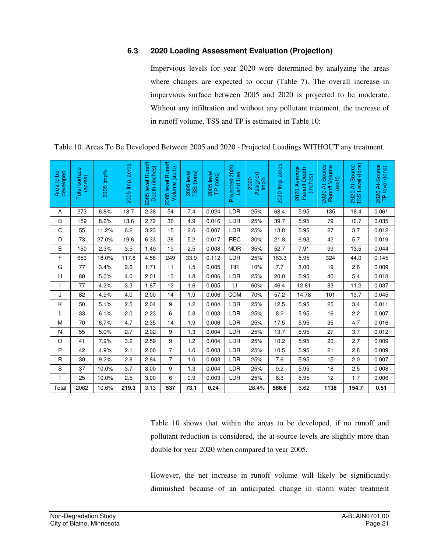### **6.3 2020 Loading Assessment Evaluation (Projection)**

Impervious levels for year 2020 were determined by analyzing the areas where changes are expected to occur (Table 7). The overall increase in impervious surface between 2005 and 2020 is projected to be moderate. Without any infiltration and without any pollutant treatment, the increase of in runoff volume, TSS and TP is estimated in Table 10:

| Area to be<br>developed | <b>Total surface</b><br>(acres) | 2005 Imp% | acres<br>2005 Imp. | <b>Runoff</b><br>Depth (inches)<br>2005 level | 2005 level Runoff<br>Volume (ac-ft) | (tons)<br>2005 level<br>TSS (tons) | 2005 level<br>TP (tons) | Projected 2020<br><b>Land Use</b> | Assigned<br>Imp%<br>2020 | 2020 Imp. acres | 2020 Average<br><b>Runoff Depth</b><br>(inches) | 2020 At-Source<br>Runoff Volume<br>$(ac-th)$ | TSS Level (tons)<br>2020 At-Source | 2020 At-Source<br>TP level (tons) |
|-------------------------|---------------------------------|-----------|--------------------|-----------------------------------------------|-------------------------------------|------------------------------------|-------------------------|-----------------------------------|--------------------------|-----------------|-------------------------------------------------|----------------------------------------------|------------------------------------|-----------------------------------|
| Α                       | 273                             | 6.8%      | 18.7               | 2.38                                          | 54                                  | 7.4                                | 0.024                   | LDR                               | 25%                      | 68.4            | 5.95                                            | 135                                          | 18.4                               | 0.061                             |
| B                       | 159                             | 8.6%      | 13.6               | 2.72                                          | 36                                  | 4.9                                | 0.016                   | LDR                               | 25%                      | 39.7            | 5.95                                            | 79                                           | 10.7                               | 0.035                             |
| C                       | 55                              | 11.2%     | 6.2                | 3.23                                          | 15                                  | 2.0                                | 0.007                   | LDR                               | 25%                      | 13.8            | 5.95                                            | 27                                           | 3.7                                | 0.012                             |
| D                       | 73                              | 27.0%     | 19.6               | 6.33                                          | 38                                  | 5.2                                | 0.017                   | <b>REC</b>                        | 30%                      | 21.8            | 6.93                                            | 42                                           | 5.7                                | 0.019                             |
| E                       | 150                             | 2.3%      | 3.5                | 1.49                                          | 19                                  | 2.5                                | 0.008                   | <b>MDR</b>                        | 35%                      | 52.7            | 7.91                                            | 99                                           | 13.5                               | 0.044                             |
| F                       | 653                             | 18.0%     | 117.8              | 4.58                                          | 249                                 | 33.9                               | 0.112                   | LDR                               | 25%                      | 163.3           | 5.95                                            | 324                                          | 44.0                               | 0.145                             |
| G                       | 77                              | 3.4%      | 2.6                | 1.71                                          | 11                                  | 1.5                                | 0.005                   | <b>RR</b>                         | 10%                      | 7.7             | 3.00                                            | 19                                           | 2.6                                | 0.009                             |
| Н                       | 80                              | 5.0%      | 4.0                | 2.01                                          | 13                                  | 1.8                                | 0.006                   | LDR                               | 25%                      | 20.0            | 5.95                                            | 40                                           | 5.4                                | 0.018                             |
| I                       | 77                              | 4.2%      | 3.3                | 1.87                                          | 12                                  | 1.6                                | 0.005                   | $\Box$                            | 60%                      | 46.4            | 12.81                                           | 83                                           | 11.2                               | 0.037                             |
| J                       | 82                              | 4.9%      | 4.0                | 2.00                                          | 14                                  | 1.9                                | 0.006                   | <b>COM</b>                        | 70%                      | 57.2            | 14.78                                           | 101                                          | 13.7                               | 0.045                             |
| Κ                       | 50                              | 5.1%      | 2.5                | 2.04                                          | 9                                   | 1.2                                | 0.004                   | LDR                               | 25%                      | 12.5            | 5.95                                            | 25                                           | 3.4                                | 0.011                             |
| L                       | 33                              | 6.1%      | 2.0                | 2.23                                          | 6                                   | 0.8                                | 0.003                   | <b>LDR</b>                        | 25%                      | 8.2             | 5.95                                            | 16                                           | 2.2                                | 0.007                             |
| M                       | 70                              | 6.7%      | 4.7                | 2.35                                          | 14                                  | 1.9                                | 0.006                   | LDR                               | 25%                      | 17.5            | 5.95                                            | 35                                           | 4.7                                | 0.016                             |
| N                       | 55                              | 5.0%      | 2.7                | 2.02                                          | 9                                   | 1.3                                | 0.004                   | LDR                               | 25%                      | 13.7            | 5.95                                            | 27                                           | 3.7                                | 0.012                             |
| O                       | 41                              | 7.9%      | 3.2                | 2.59                                          | 9                                   | 1.2                                | 0.004                   | LDR                               | 25%                      | 10.2            | 5.95                                            | 20                                           | 2.7                                | 0.009                             |
| P                       | 42                              | 4.9%      | 2.1                | 2.00                                          | $\overline{7}$                      | 1.0                                | 0.003                   | LDR                               | 25%                      | 10.5            | 5.95                                            | 21                                           | 2.8                                | 0.009                             |
| $\mathsf{R}$            | 30                              | 9.2%      | 2.8                | 2.84                                          | $\overline{7}$                      | 1.0                                | 0.003                   | LDR                               | 25%                      | 7.6             | 5.95                                            | 15                                           | 2.0                                | 0.007                             |
| S                       | 37                              | 10.0%     | 3.7                | 3.00                                          | 9                                   | 1.3                                | 0.004                   | LDR                               | 25%                      | 9.2             | 5.95                                            | 18                                           | 2.5                                | 0.008                             |
| T                       | 25                              | 10.0%     | 2.5                | 3.00                                          | 6                                   | 0.9                                | 0.003                   | LDR                               | 25%                      | 6.3             | 5.95                                            | 12                                           | 1.7                                | 0.006                             |
| Total                   | 2062                            | 10.6%     | 219.3              | 3.13                                          | 537                                 | 73.1                               | 0.24                    |                                   | 28.4%                    | 586.6           | 6.62                                            | 1138                                         | 154.7                              | 0.51                              |

Table 10. Areas To Be Developed Between 2005 and 2020 - Projected Loadings WITHOUT any treatment.

Table 10 shows that within the areas to be developed, if no runoff and pollutant reduction is considered, the at-source levels are slightly more than double for year 2020 when compared to year 2005.

However, the net increase in runoff volume will likely be significantly diminished because of an anticipated change in storm water treatment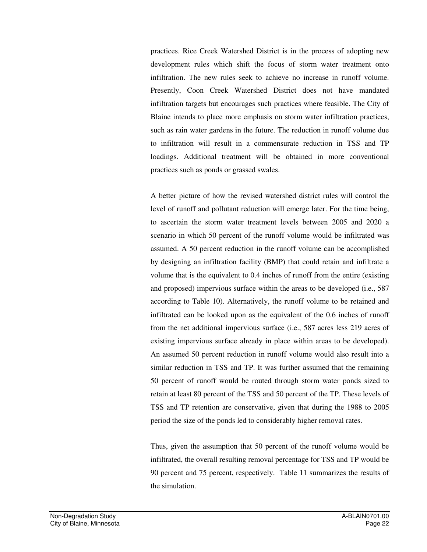practices. Rice Creek Watershed District is in the process of adopting new development rules which shift the focus of storm water treatment onto infiltration. The new rules seek to achieve no increase in runoff volume. Presently, Coon Creek Watershed District does not have mandated infiltration targets but encourages such practices where feasible. The City of Blaine intends to place more emphasis on storm water infiltration practices, such as rain water gardens in the future. The reduction in runoff volume due to infiltration will result in a commensurate reduction in TSS and TP loadings. Additional treatment will be obtained in more conventional practices such as ponds or grassed swales.

A better picture of how the revised watershed district rules will control the level of runoff and pollutant reduction will emerge later. For the time being, to ascertain the storm water treatment levels between 2005 and 2020 a scenario in which 50 percent of the runoff volume would be infiltrated was assumed. A 50 percent reduction in the runoff volume can be accomplished by designing an infiltration facility (BMP) that could retain and infiltrate a volume that is the equivalent to 0.4 inches of runoff from the entire (existing and proposed) impervious surface within the areas to be developed (i.e., 587 according to Table 10). Alternatively, the runoff volume to be retained and infiltrated can be looked upon as the equivalent of the 0.6 inches of runoff from the net additional impervious surface (i.e., 587 acres less 219 acres of existing impervious surface already in place within areas to be developed). An assumed 50 percent reduction in runoff volume would also result into a similar reduction in TSS and TP. It was further assumed that the remaining 50 percent of runoff would be routed through storm water ponds sized to retain at least 80 percent of the TSS and 50 percent of the TP. These levels of TSS and TP retention are conservative, given that during the 1988 to 2005 period the size of the ponds led to considerably higher removal rates.

Thus, given the assumption that 50 percent of the runoff volume would be infiltrated, the overall resulting removal percentage for TSS and TP would be 90 percent and 75 percent, respectively. Table 11 summarizes the results of the simulation.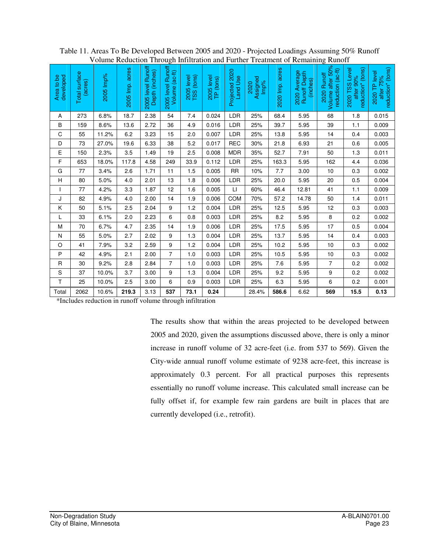| volume Reduction Through Inflitration and Further Treatment of Remaining Runoff |                          |           |                    |                                     |                                     |            |                         |                            |                          |                 |                                          |                                                      |                                                  |                                                 |
|---------------------------------------------------------------------------------|--------------------------|-----------|--------------------|-------------------------------------|-------------------------------------|------------|-------------------------|----------------------------|--------------------------|-----------------|------------------------------------------|------------------------------------------------------|--------------------------------------------------|-------------------------------------------------|
| Area to be<br>developed                                                         | Total surface<br>(acres) | 2005 Imp% | acres<br>2005 Imp. | 2005 level Runoff<br>Depth (inches) | 2005 level Runoff<br>Volume (ac-ft) | 2005 level | 2005 level<br>TP (tons) | Projected 2020<br>Land Use | Assigned<br>Imp%<br>2020 | 2020 Imp. acres | 2020 Average<br>Runoff Depth<br>(inches) | Volume after 50%<br>reduction (ac-ft)<br>2020 Runoff | 2020 TSS Level<br>reduction* (tons)<br>after 90% | reduction* (tons)<br>2020 TP level<br>after 75% |
| Α                                                                               | 273                      | 6.8%      | 18.7               | 2.38                                | 54                                  | 7.4        | 0.024                   | LDR                        | 25%                      | 68.4            | 5.95                                     | 68                                                   | 1.8                                              | 0.015                                           |
| B                                                                               | 159                      | 8.6%      | 13.6               | 2.72                                | 36                                  | 4.9        | 0.016                   | <b>LDR</b>                 | 25%                      | 39.7            | 5.95                                     | 39                                                   | 1.1                                              | 0.009                                           |
| C                                                                               | 55                       | 11.2%     | 6.2                | 3.23                                | 15                                  | 2.0        | 0.007                   | LDR                        | 25%                      | 13.8            | 5.95                                     | 14                                                   | 0.4                                              | 0.003                                           |
| D                                                                               | 73                       | 27.0%     | 19.6               | 6.33                                | 38                                  | 5.2        | 0.017                   | <b>REC</b>                 | 30%                      | 21.8            | 6.93                                     | 21                                                   | 0.6                                              | 0.005                                           |
| E                                                                               | 150                      | 2.3%      | 3.5                | 1.49                                | 19                                  | 2.5        | 0.008                   | <b>MDR</b>                 | 35%                      | 52.7            | 7.91                                     | 50                                                   | 1.3                                              | 0.011                                           |
| F                                                                               | 653                      | 18.0%     | 117.8              | 4.58                                | 249                                 | 33.9       | 0.112                   | <b>LDR</b>                 | 25%                      | 163.3           | 5.95                                     | 162                                                  | 4.4                                              | 0.036                                           |
| G                                                                               | 77                       | 3.4%      | 2.6                | 1.71                                | 11                                  | 1.5        | 0.005                   | <b>RR</b>                  | 10%                      | $7.7\,$         | 3.00                                     | $10$                                                 | 0.3                                              | 0.002                                           |
| $\mathsf{H}$                                                                    | 80                       | 5.0%      | 4.0                | 2.01                                | 13                                  | 1.8        | 0.006                   | <b>LDR</b>                 | 25%                      | 20.0            | 5.95                                     | 20                                                   | 0.5                                              | 0.004                                           |
| $\mathbf{I}$                                                                    | 77                       | 4.2%      | 3.3                | 1.87                                | 12                                  | 1.6        | 0.005                   | $\sqcup$                   | 60%                      | 46.4            | 12.81                                    | 41                                                   | $1.1$                                            | 0.009                                           |
| J                                                                               | 82                       | 4.9%      | 4.0                | 2.00                                | 14                                  | 1.9        | 0.006                   | COM                        | 70%                      | 57.2            | 14.78                                    | 50                                                   | 1.4                                              | 0.011                                           |
| Κ                                                                               | 50                       | 5.1%      | 2.5                | 2.04                                | 9                                   | 1.2        | 0.004                   | <b>LDR</b>                 | 25%                      | 12.5            | 5.95                                     | 12                                                   | 0.3                                              | 0.003                                           |
| L                                                                               | 33                       | 6.1%      | 2.0                | 2.23                                | 6                                   | 0.8        | 0.003                   | <b>LDR</b>                 | 25%                      | 8.2             | 5.95                                     | 8                                                    | 0.2                                              | 0.002                                           |
| M                                                                               | 70                       | 6.7%      | 4.7                | 2.35                                | 14                                  | 1.9        | 0.006                   | LDR                        | 25%                      | 17.5            | 5.95                                     | 17                                                   | 0.5                                              | 0.004                                           |
| N                                                                               | 55                       | 5.0%      | 2.7                | 2.02                                | 9                                   | 1.3        | 0.004                   | LDR                        | 25%                      | 13.7            | 5.95                                     | 14                                                   | 0.4                                              | 0.003                                           |
| $\circ$                                                                         | 41                       | 7.9%      | 3.2                | 2.59                                | 9                                   | 1.2        | 0.004                   | <b>LDR</b>                 | 25%                      | 10.2            | 5.95                                     | 10                                                   | 0.3                                              | 0.002                                           |
| P                                                                               | 42                       | 4.9%      | 2.1                | 2.00                                | $\overline{7}$                      | 1.0        | 0.003                   | <b>LDR</b>                 | 25%                      | 10.5            | 5.95                                     | 10                                                   | 0.3                                              | 0.002                                           |
| R                                                                               | 30                       | 9.2%      | 2.8                | 2.84                                | $\overline{7}$                      | 1.0        | 0.003                   | LDR                        | 25%                      | $7.6$           | 5.95                                     | $\overline{7}$                                       | 0.2                                              | 0.002                                           |
| ${\mathsf S}$                                                                   | 37                       | 10.0%     | 3.7                | 3.00                                | $\boldsymbol{9}$                    | 1.3        | 0.004                   | LDR                        | 25%                      | 9.2             | 5.95                                     | 9                                                    | 0.2                                              | 0.002                                           |
| T                                                                               | 25                       | 10.0%     | 2.5                | 3.00                                | 6                                   | 0.9        | 0.003                   | <b>LDR</b>                 | 25%                      | 6.3             | 5.95                                     | 6                                                    | 0.2                                              | 0.001                                           |
| Total                                                                           | 2062                     | 10.6%     | 219.3              | 3.13                                | 537                                 | 73.1       | 0.24                    |                            | 28.4%                    | 586.6           | 6.62                                     | 569                                                  | 15.5                                             | 0.13                                            |

Table 11. Areas To Be Developed Between 2005 and 2020 - Projected Loadings Assuming 50% Runoff Volume Reduction Through Infiltration and Further Treatment of Remaining Runoff

\*Includes reduction in runoff volume through infiltration

The results show that within the areas projected to be developed between 2005 and 2020, given the assumptions discussed above, there is only a minor increase in runoff volume of 32 acre-feet (i.e. from 537 to 569). Given the City-wide annual runoff volume estimate of 9238 acre-feet, this increase is approximately 0.3 percent. For all practical purposes this represents essentially no runoff volume increase. This calculated small increase can be fully offset if, for example few rain gardens are built in places that are currently developed (i.e., retrofit).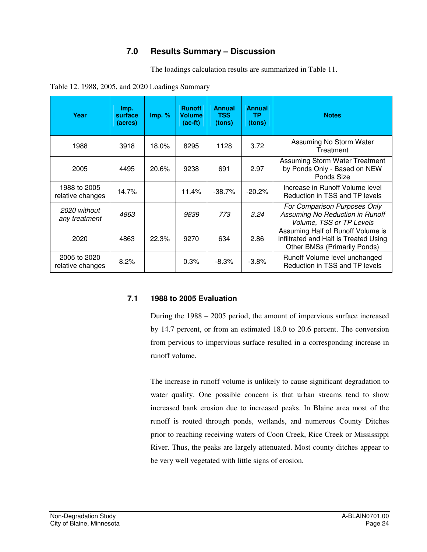### **7.0 Results Summary – Discussion**

The loadings calculation results are summarized in Table 11.

| Table 12. 1988, 2005, and 2020 Loadings Summary |  |  |  |  |
|-------------------------------------------------|--|--|--|--|
|                                                 |  |  |  |  |

| Year                             | Imp.<br>surface<br>(acres) | Imp. %   | <b>Runoff</b><br><b>Volume</b><br>$(ac-fit)$ | <b>Annual</b><br><b>TSS</b><br>(tons) | <b>Annual</b><br>ТP<br>(tons) | <b>Notes</b>                                                                                                      |
|----------------------------------|----------------------------|----------|----------------------------------------------|---------------------------------------|-------------------------------|-------------------------------------------------------------------------------------------------------------------|
| 1988                             | 3918                       | $18.0\%$ | 8295                                         | 1128                                  | 3.72                          | Assuming No Storm Water<br>Treatment                                                                              |
| 2005                             | 4495                       | 20.6%    | 9238                                         | 691                                   | 2.97                          | Assuming Storm Water Treatment<br>by Ponds Only - Based on NEW<br>Ponds Size                                      |
| 1988 to 2005<br>relative changes | 14.7%                      |          | 11.4%                                        | $-38.7%$                              | $-20.2%$                      | Increase in Runoff Volume level<br>Reduction in TSS and TP levels                                                 |
| 2020 without<br>any treatment    | 4863                       |          | 9839                                         | 773                                   | 3.24                          | For Comparison Purposes Only<br>Assuming No Reduction in Runoff<br>Volume, TSS or TP Levels                       |
| 2020                             | 4863                       | 22.3%    | 9270                                         | 634                                   | 2.86                          | Assuming Half of Runoff Volume is<br>Infiltrated and Half is Treated Using<br><b>Other BMSs (Primarily Ponds)</b> |
| 2005 to 2020<br>relative changes | 8.2%                       |          | 0.3%                                         | $-8.3\%$                              | $-3.8%$                       | Runoff Volume level unchanged<br>Reduction in TSS and TP levels                                                   |

### **7.1 1988 to 2005 Evaluation**

During the 1988 – 2005 period, the amount of impervious surface increased by 14.7 percent, or from an estimated 18.0 to 20.6 percent. The conversion from pervious to impervious surface resulted in a corresponding increase in runoff volume.

The increase in runoff volume is unlikely to cause significant degradation to water quality. One possible concern is that urban streams tend to show increased bank erosion due to increased peaks. In Blaine area most of the runoff is routed through ponds, wetlands, and numerous County Ditches prior to reaching receiving waters of Coon Creek, Rice Creek or Mississippi River. Thus, the peaks are largely attenuated. Most county ditches appear to be very well vegetated with little signs of erosion.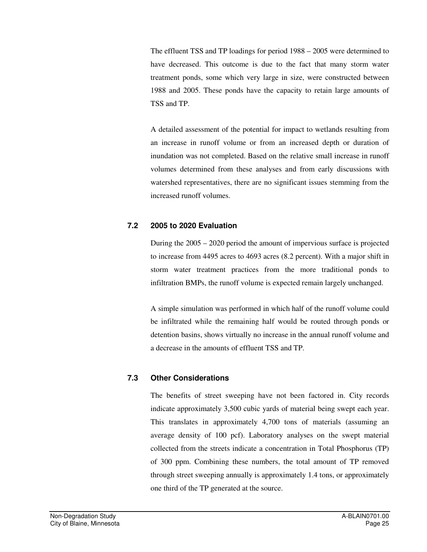The effluent TSS and TP loadings for period 1988 – 2005 were determined to have decreased. This outcome is due to the fact that many storm water treatment ponds, some which very large in size, were constructed between 1988 and 2005. These ponds have the capacity to retain large amounts of TSS and TP.

A detailed assessment of the potential for impact to wetlands resulting from an increase in runoff volume or from an increased depth or duration of inundation was not completed. Based on the relative small increase in runoff volumes determined from these analyses and from early discussions with watershed representatives, there are no significant issues stemming from the increased runoff volumes.

### **7.2 2005 to 2020 Evaluation**

During the 2005 – 2020 period the amount of impervious surface is projected to increase from 4495 acres to 4693 acres (8.2 percent). With a major shift in storm water treatment practices from the more traditional ponds to infiltration BMPs, the runoff volume is expected remain largely unchanged.

A simple simulation was performed in which half of the runoff volume could be infiltrated while the remaining half would be routed through ponds or detention basins, shows virtually no increase in the annual runoff volume and a decrease in the amounts of effluent TSS and TP.

### **7.3 Other Considerations**

The benefits of street sweeping have not been factored in. City records indicate approximately 3,500 cubic yards of material being swept each year. This translates in approximately 4,700 tons of materials (assuming an average density of 100 pcf). Laboratory analyses on the swept material collected from the streets indicate a concentration in Total Phosphorus (TP) of 300 ppm. Combining these numbers, the total amount of TP removed through street sweeping annually is approximately 1.4 tons, or approximately one third of the TP generated at the source.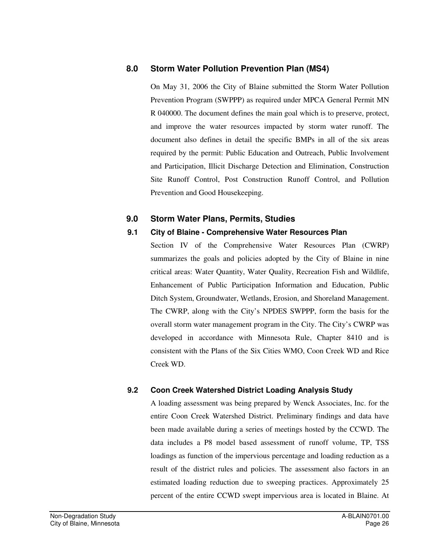### **8.0 Storm Water Pollution Prevention Plan (MS4)**

On May 31, 2006 the City of Blaine submitted the Storm Water Pollution Prevention Program (SWPPP) as required under MPCA General Permit MN R 040000. The document defines the main goal which is to preserve, protect, and improve the water resources impacted by storm water runoff. The document also defines in detail the specific BMPs in all of the six areas required by the permit: Public Education and Outreach, Public Involvement and Participation, Illicit Discharge Detection and Elimination, Construction Site Runoff Control, Post Construction Runoff Control, and Pollution Prevention and Good Housekeeping.

### **9.0 Storm Water Plans, Permits, Studies**

### **9.1 City of Blaine - Comprehensive Water Resources Plan**

Section IV of the Comprehensive Water Resources Plan (CWRP) summarizes the goals and policies adopted by the City of Blaine in nine critical areas: Water Quantity, Water Quality, Recreation Fish and Wildlife, Enhancement of Public Participation Information and Education, Public Ditch System, Groundwater, Wetlands, Erosion, and Shoreland Management. The CWRP, along with the City's NPDES SWPPP, form the basis for the overall storm water management program in the City. The City's CWRP was developed in accordance with Minnesota Rule, Chapter 8410 and is consistent with the Plans of the Six Cities WMO, Coon Creek WD and Rice Creek WD.

### **9.2 Coon Creek Watershed District Loading Analysis Study**

A loading assessment was being prepared by Wenck Associates, Inc. for the entire Coon Creek Watershed District. Preliminary findings and data have been made available during a series of meetings hosted by the CCWD. The data includes a P8 model based assessment of runoff volume, TP, TSS loadings as function of the impervious percentage and loading reduction as a result of the district rules and policies. The assessment also factors in an estimated loading reduction due to sweeping practices. Approximately 25 percent of the entire CCWD swept impervious area is located in Blaine. At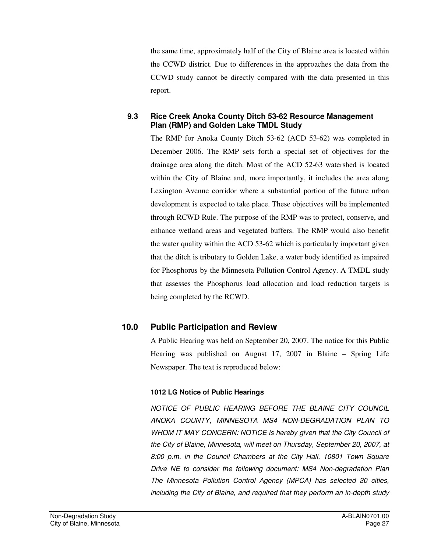the same time, approximately half of the City of Blaine area is located within the CCWD district. Due to differences in the approaches the data from the CCWD study cannot be directly compared with the data presented in this report.

### **9.3 Rice Creek Anoka County Ditch 53-62 Resource Management Plan (RMP) and Golden Lake TMDL Study**

The RMP for Anoka County Ditch 53-62 (ACD 53-62) was completed in December 2006. The RMP sets forth a special set of objectives for the drainage area along the ditch. Most of the ACD 52-63 watershed is located within the City of Blaine and, more importantly, it includes the area along Lexington Avenue corridor where a substantial portion of the future urban development is expected to take place. These objectives will be implemented through RCWD Rule. The purpose of the RMP was to protect, conserve, and enhance wetland areas and vegetated buffers. The RMP would also benefit the water quality within the ACD 53-62 which is particularly important given that the ditch is tributary to Golden Lake, a water body identified as impaired for Phosphorus by the Minnesota Pollution Control Agency. A TMDL study that assesses the Phosphorus load allocation and load reduction targets is being completed by the RCWD.

### **10.0 Public Participation and Review**

A Public Hearing was held on September 20, 2007. The notice for this Public Hearing was published on August 17, 2007 in Blaine – Spring Life Newspaper. The text is reproduced below:

#### **1012 LG Notice of Public Hearings**

NOTICE OF PUBLIC HEARING BEFORE THE BLAINE CITY COUNCIL ANOKA COUNTY, MINNESOTA MS4 NON-DEGRADATION PLAN TO WHOM IT MAY CONCERN: NOTICE is hereby given that the City Council of the City of Blaine, Minnesota, will meet on Thursday, September 20, 2007, at 8:00 p.m. in the Council Chambers at the City Hall, 10801 Town Square Drive NE to consider the following document: MS4 Non-degradation Plan The Minnesota Pollution Control Agency (MPCA) has selected 30 cities, including the City of Blaine, and required that they perform an in-depth study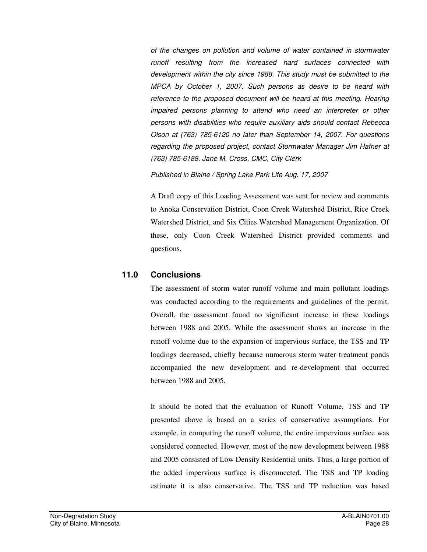of the changes on pollution and volume of water contained in stormwater runoff resulting from the increased hard surfaces connected with development within the city since 1988. This study must be submitted to the MPCA by October 1, 2007. Such persons as desire to be heard with reference to the proposed document will be heard at this meeting. Hearing impaired persons planning to attend who need an interpreter or other persons with disabilities who require auxiliary aids should contact Rebecca Olson at (763) 785-6120 no later than September 14, 2007. For questions regarding the proposed project, contact Stormwater Manager Jim Hafner at (763) 785-6188. Jane M. Cross, CMC, City Clerk

Published in Blaine / Spring Lake Park Life Aug. 17, 2007

A Draft copy of this Loading Assessment was sent for review and comments to Anoka Conservation District, Coon Creek Watershed District, Rice Creek Watershed District, and Six Cities Watershed Management Organization. Of these, only Coon Creek Watershed District provided comments and questions.

### **11.0 Conclusions**

The assessment of storm water runoff volume and main pollutant loadings was conducted according to the requirements and guidelines of the permit. Overall, the assessment found no significant increase in these loadings between 1988 and 2005. While the assessment shows an increase in the runoff volume due to the expansion of impervious surface, the TSS and TP loadings decreased, chiefly because numerous storm water treatment ponds accompanied the new development and re-development that occurred between 1988 and 2005.

It should be noted that the evaluation of Runoff Volume, TSS and TP presented above is based on a series of conservative assumptions. For example, in computing the runoff volume, the entire impervious surface was considered connected. However, most of the new development between 1988 and 2005 consisted of Low Density Residential units. Thus, a large portion of the added impervious surface is disconnected. The TSS and TP loading estimate it is also conservative. The TSS and TP reduction was based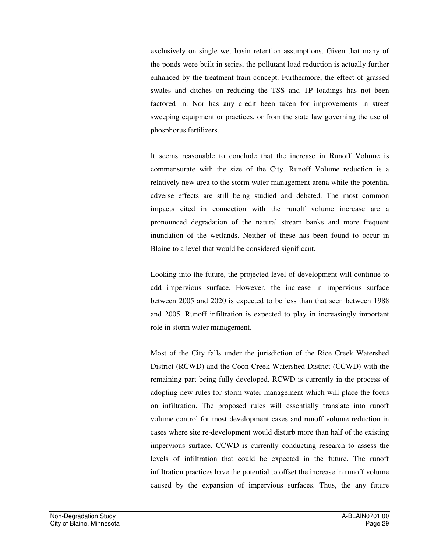exclusively on single wet basin retention assumptions. Given that many of the ponds were built in series, the pollutant load reduction is actually further enhanced by the treatment train concept. Furthermore, the effect of grassed swales and ditches on reducing the TSS and TP loadings has not been factored in. Nor has any credit been taken for improvements in street sweeping equipment or practices, or from the state law governing the use of phosphorus fertilizers.

It seems reasonable to conclude that the increase in Runoff Volume is commensurate with the size of the City. Runoff Volume reduction is a relatively new area to the storm water management arena while the potential adverse effects are still being studied and debated. The most common impacts cited in connection with the runoff volume increase are a pronounced degradation of the natural stream banks and more frequent inundation of the wetlands. Neither of these has been found to occur in Blaine to a level that would be considered significant.

Looking into the future, the projected level of development will continue to add impervious surface. However, the increase in impervious surface between 2005 and 2020 is expected to be less than that seen between 1988 and 2005. Runoff infiltration is expected to play in increasingly important role in storm water management.

Most of the City falls under the jurisdiction of the Rice Creek Watershed District (RCWD) and the Coon Creek Watershed District (CCWD) with the remaining part being fully developed. RCWD is currently in the process of adopting new rules for storm water management which will place the focus on infiltration. The proposed rules will essentially translate into runoff volume control for most development cases and runoff volume reduction in cases where site re-development would disturb more than half of the existing impervious surface. CCWD is currently conducting research to assess the levels of infiltration that could be expected in the future. The runoff infiltration practices have the potential to offset the increase in runoff volume caused by the expansion of impervious surfaces. Thus, the any future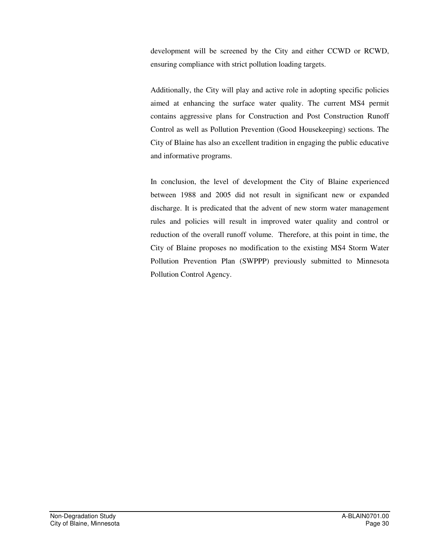development will be screened by the City and either CCWD or RCWD, ensuring compliance with strict pollution loading targets.

Additionally, the City will play and active role in adopting specific policies aimed at enhancing the surface water quality. The current MS4 permit contains aggressive plans for Construction and Post Construction Runoff Control as well as Pollution Prevention (Good Housekeeping) sections. The City of Blaine has also an excellent tradition in engaging the public educative and informative programs.

In conclusion, the level of development the City of Blaine experienced between 1988 and 2005 did not result in significant new or expanded discharge. It is predicated that the advent of new storm water management rules and policies will result in improved water quality and control or reduction of the overall runoff volume. Therefore, at this point in time, the City of Blaine proposes no modification to the existing MS4 Storm Water Pollution Prevention Plan (SWPPP) previously submitted to Minnesota Pollution Control Agency.